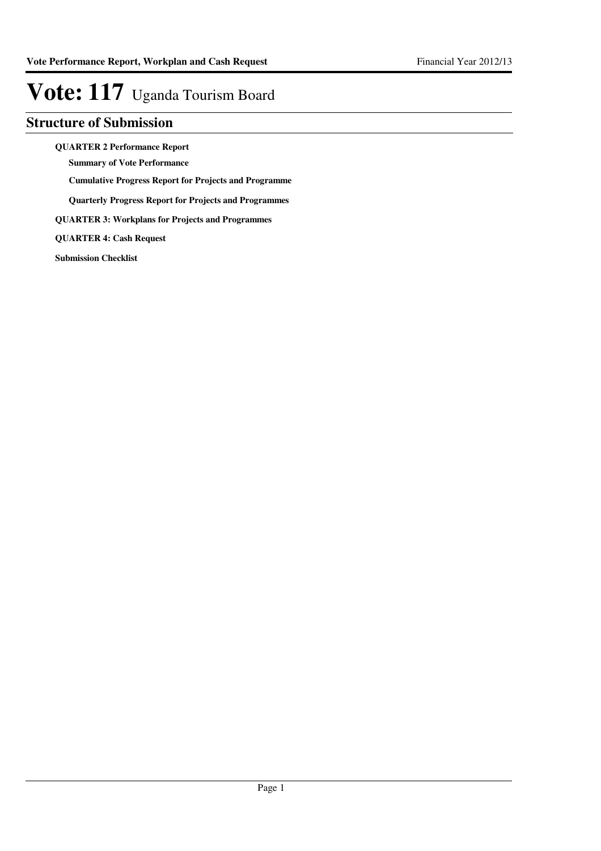## **Structure of Submission**

**QUARTER 2 Performance Report**

**Summary of Vote Performance**

**Cumulative Progress Report for Projects and Programme**

**Quarterly Progress Report for Projects and Programmes**

**QUARTER 3: Workplans for Projects and Programmes**

**QUARTER 4: Cash Request**

**Submission Checklist**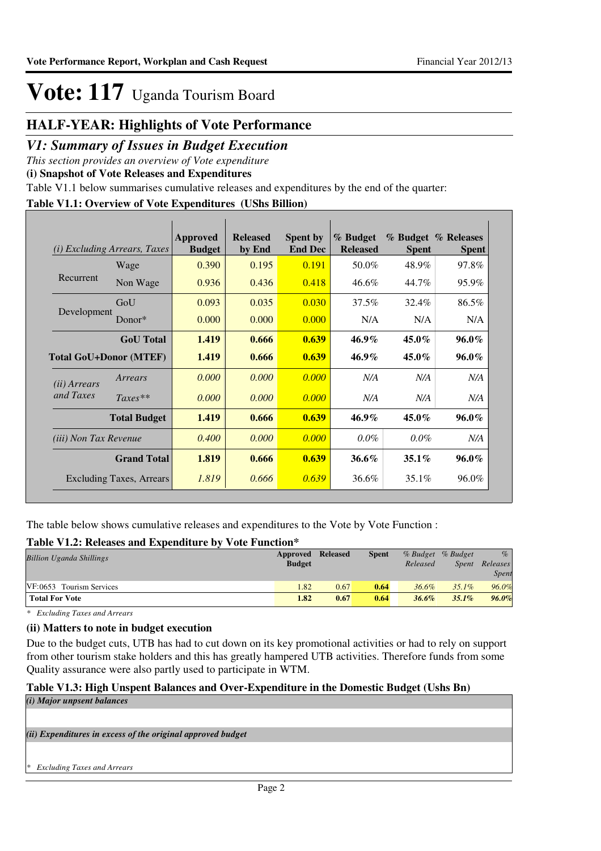## **HALF-YEAR: Highlights of Vote Performance**

### *V1: Summary of Issues in Budget Execution*

*This section provides an overview of Vote expenditure* 

**(i) Snapshot of Vote Releases and Expenditures**

Table V1.1 below summarises cumulative releases and expenditures by the end of the quarter:

### **Table V1.1: Overview of Vote Expenditures (UShs Billion)**

| (i)                           | <i>Excluding Arrears, Taxes</i> | <b>Approved</b><br><b>Budget</b> | <b>Released</b><br>by End | <b>Spent by</b><br><b>End Dec</b> | % Budget<br><b>Released</b> | <b>Spent</b> | % Budget % Releases<br><b>Spent</b> |
|-------------------------------|---------------------------------|----------------------------------|---------------------------|-----------------------------------|-----------------------------|--------------|-------------------------------------|
|                               | Wage                            | 0.390                            | 0.195                     | 0.191                             | 50.0%                       | 48.9%        | 97.8%                               |
| Recurrent                     | Non Wage                        | 0.936                            | 0.436                     | 0.418                             | 46.6%                       | 44.7%        | 95.9%                               |
|                               | GoU                             | 0.093                            | 0.035                     | 0.030                             | 37.5%                       | 32.4%        | 86.5%                               |
| Development                   | Donor*                          | 0.000                            | 0.000                     | 0.000                             | N/A                         | N/A          | N/A                                 |
|                               | <b>GoU</b> Total                | 1.419                            | 0.666                     | 0.639                             | $46.9\%$                    | $45.0\%$     | 96.0%                               |
| <b>Total GoU+Donor (MTEF)</b> |                                 | 1.419                            | 0.666                     | 0.639                             | $46.9\%$                    | $45.0\%$     | 96.0%                               |
| ( <i>ii</i> ) Arrears         | Arrears                         | 0.000                            | 0.000                     | 0.000                             | N/A                         | N/A          | N/A                                 |
| and Taxes                     | $Taxes**$                       | 0.000                            | 0.000                     | 0.000                             | N/A                         | N/A          | N/A                                 |
|                               | <b>Total Budget</b>             | 1.419                            | 0.666                     | 0.639                             | $46.9\%$                    | $45.0\%$     | $96.0\%$                            |
| <i>(iii)</i> Non Tax Revenue  |                                 | 0.400                            | 0.000                     | 0.000                             | $0.0\%$                     | $0.0\%$      | N/A                                 |
|                               | <b>Grand Total</b>              | 1.819                            | 0.666                     | 0.639                             | 36.6%                       | $35.1\%$     | 96.0%                               |
|                               | <b>Excluding Taxes, Arrears</b> | 1.819                            | 0.666                     | 0.639                             | 36.6%                       | 35.1%        | 96.0%                               |

The table below shows cumulative releases and expenditures to the Vote by Vote Function :

### **Table V1.2: Releases and Expenditure by Vote Function\***

| <b>Billion Uganda Shillings</b> | Approved<br><b>Budget</b> | <b>Released</b> | <b>Spent</b> | Released | % Budget % Budget<br><i>Spent</i> | $\%$<br>Releases<br>Spent |
|---------------------------------|---------------------------|-----------------|--------------|----------|-----------------------------------|---------------------------|
|                                 |                           |                 |              |          |                                   |                           |
| VF:0653 Tourism Services        | 1.82                      | 0.67            | 0.64         | $36.6\%$ | $35.1\%$                          | 96.0%                     |
| <b>Total For Vote</b>           | 1.82                      | 0.67            | 0.64         | $36.6\%$ | $35.1\%$                          | 96.0%                     |

*\* Excluding Taxes and Arrears*

### **(ii) Matters to note in budget execution**

Due to the budget cuts, UTB has had to cut down on its key promotional activities or had to rely on support from other tourism stake holders and this has greatly hampered UTB activities. Therefore funds from some Quality assurance were also partly used to participate in WTM.

### **Table V1.3: High Unspent Balances and Over-Expenditure in the Domestic Budget (Ushs Bn)** *(i) Major unpsent balances*

*(ii) Expenditures in excess of the original approved budget*

*\* Excluding Taxes and Arrears*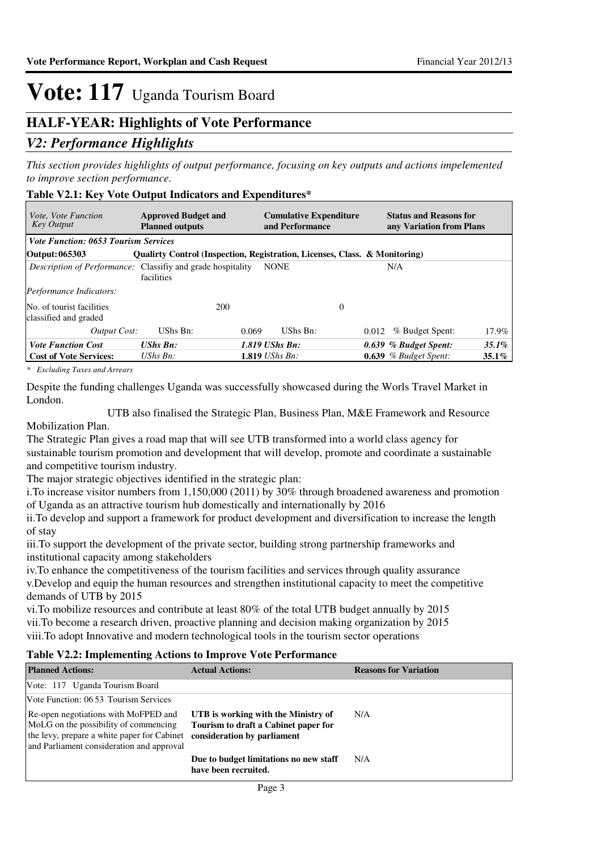## **HALF-YEAR: Highlights of Vote Performance**

### *V2: Performance Highlights*

*This section provides highlights of output performance, focusing on key outputs and actions impelemented to improve section performance.*

### **Table V2.1: Key Vote Output Indicators and Expenditures\***

| <i>Vote, Vote Function</i><br><b>Key Output</b>                    | <b>Approved Budget and</b><br><b>Planned outputs</b>                       | <b>Cumulative Expenditure</b><br>and Performance | <b>Status and Reasons for</b><br>any Variation from Plans |          |
|--------------------------------------------------------------------|----------------------------------------------------------------------------|--------------------------------------------------|-----------------------------------------------------------|----------|
| <b>Vote Function: 0653 Tourism Services</b>                        |                                                                            |                                                  |                                                           |          |
| Output: 065303                                                     | Qualirty Control (Inspection, Registration, Licenses, Class. & Monitoring) |                                                  |                                                           |          |
| <i>Description of Performance:</i> Classifiy and grade hospitality | facilities                                                                 | <b>NONE</b>                                      | N/A                                                       |          |
| <i>Performance Indicators:</i>                                     |                                                                            |                                                  |                                                           |          |
| No. of tourist facilities<br>classified and graded                 | 200                                                                        | 0                                                |                                                           |          |
| Output Cost:                                                       | UShs Bn:                                                                   | UShs Bn:<br>0.069                                | % Budget Spent:<br>0.012                                  | 17.9%    |
| <b>Vote Function Cost</b>                                          | <b>UShs Bn:</b>                                                            | $1.819$ UShs Bn:                                 | $0.639$ % Budget Spent:                                   | $35.1\%$ |
| <b>Cost of Vote Services:</b>                                      | UShs $B_n$ :                                                               | <b>1.819</b> <i>UShs Bn:</i>                     | $0.639$ % Budget Spent:                                   | $35.1\%$ |

*\* Excluding Taxes and Arrears*

Despite the funding challenges Uganda was successfully showcased during the Worls Travel Market in London.

 UTB also finalised the Strategic Plan, Business Plan, M&E Framework and Resource Mobilization Plan.

The Strategic Plan gives a road map that will see UTB transformed into a world class agency for sustainable tourism promotion and development that will develop, promote and coordinate a sustainable and competitive tourism industry.

The major strategic objectives identified in the strategic plan:

i.To increase visitor numbers from 1,150,000 (2011) by 30% through broadened awareness and promotion of Uganda as an attractive tourism hub domestically and internationally by 2016

ii.To develop and support a framework for product development and diversification to increase the length of stay

iii.To support the development of the private sector, building strong partnership frameworks and institutional capacity among stakeholders

iv.To enhance the competitiveness of the tourism facilities and services through quality assurance v.Develop and equip the human resources and strengthen institutional capacity to meet the competitive demands of UTB by 2015

vi.To mobilize resources and contribute at least 80% of the total UTB budget annually by 2015 vii.To become a research driven, proactive planning and decision making organization by 2015 viii.To adopt Innovative and modern technological tools in the tourism sector operations

### **Table V2.2: Implementing Actions to Improve Vote Performance**

| <b>Planned Actions:</b>                                                                                                                                                                               | <b>Actual Actions:</b>                                                      | <b>Reasons for Variation</b> |
|-------------------------------------------------------------------------------------------------------------------------------------------------------------------------------------------------------|-----------------------------------------------------------------------------|------------------------------|
| Vote: 117 Uganda Tourism Board                                                                                                                                                                        |                                                                             |                              |
| Vote Function: 06.53 Tourism Services                                                                                                                                                                 |                                                                             |                              |
| Re-open negotiations with MoFPED and<br>MoLG on the possibility of commencing<br>the levy, prepare a white paper for Cabinet consideration by parliament<br>and Parliament consideration and approval | UTB is working with the Ministry of<br>Tourism to draft a Cabinet paper for | N/A                          |
|                                                                                                                                                                                                       | Due to budget limitations no new staff<br>have been recruited.              | N/A                          |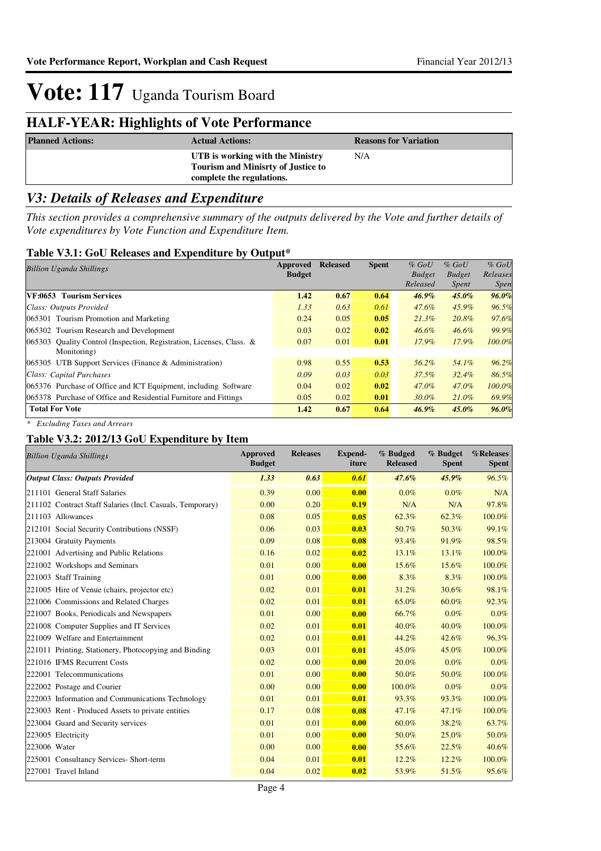## **HALF-YEAR: Highlights of Vote Performance**

| <b>Planned Actions:</b> | <b>Actual Actions:</b>                                                                                     | <b>Reasons for Variation</b> |
|-------------------------|------------------------------------------------------------------------------------------------------------|------------------------------|
|                         | UTB is working with the Ministry<br><b>Tourism and Minisrty of Justice to</b><br>complete the regulations. | N/A                          |

## *V3: Details of Releases and Expenditure*

*This section provides a comprehensive summary of the outputs delivered by the Vote and further details of Vote expenditures by Vote Function and Expenditure Item.*

### **Table V3.1: GoU Releases and Expenditure by Output\***

| <b>Billion Uganda Shillings</b>                                      | Approved      | <b>Released</b> | <b>Spent</b> | $%$ GoU       | $%$ GoU       | $%$ GoU     |
|----------------------------------------------------------------------|---------------|-----------------|--------------|---------------|---------------|-------------|
|                                                                      | <b>Budget</b> |                 |              | <b>Budget</b> | <b>Budget</b> | Releases    |
|                                                                      |               |                 |              | Released      | Spent         | <i>Spen</i> |
| VF:0653 Tourism Services                                             | 1.42          | 0.67            | 0.64         | $46.9\%$      | $45.0\%$      | $96.0\%$    |
| Class: Outputs Provided                                              | 1.33          | 0.63            | 0.61         | 47.6%         | 45.9%         | 96.5%       |
| 065301 Tourism Promotion and Marketing                               | 0.24          | 0.05            | 0.05         | $21.3\%$      | 20.8%         | 97.6%       |
| 065302 Tourism Research and Development                              | 0.03          | 0.02            | 0.02         | $46.6\%$      | $46.6\%$      | 99.9%       |
| 065303 Ouality Control (Inspection, Registration, Licenses, Class. & | 0.07          | 0.01            | 0.01         | 17.9%         | 17.9%         | 100.0%      |
| Monitoring)                                                          |               |                 |              |               |               |             |
| 065305 UTB Support Services (Finance & Administration)               | 0.98          | 0.55            | 0.53         | 56.2%         | 54.1%         | 96.2%       |
| Class: Capital Purchases                                             | 0.09          | 0.03            | 0.03         | 37.5%         | $32.4\%$      | 86.5%       |
| 065376 Purchase of Office and ICT Equipment, including Software      | 0.04          | 0.02            | 0.02         | 47.0%         | 47.0%         | 100.0%      |
| 065378 Purchase of Office and Residential Furniture and Fittings     | 0.05          | 0.02            | 0.01         | $30.0\%$      | $21.0\%$      | 69.9%       |
| <b>Total For Vote</b>                                                | 1.42          | 0.67            | 0.64         | $46.9\%$      | $45.0\%$      | 96.0%       |
|                                                                      |               |                 |              |               |               |             |

*\* Excluding Taxes and Arrears*

### **Table V3.2: 2012/13 GoU Expenditure by Item**

| <b>Billion Uganda Shillings</b>                           | <b>Approved</b><br><b>Budget</b> | <b>Releases</b> | <b>Expend-</b><br>iture | % Budged<br><b>Released</b> | % Budget<br><b>Spent</b> | %Releases<br><b>Spent</b> |
|-----------------------------------------------------------|----------------------------------|-----------------|-------------------------|-----------------------------|--------------------------|---------------------------|
| <b>Output Class: Outputs Provided</b>                     | 1.33                             | 0.63            | 0.61                    | $47.6\%$                    | $45.9\%$                 | $96.5\%$                  |
| 211101 General Staff Salaries                             | 0.39                             | 0.00            | 0.00                    | $0.0\%$                     | $0.0\%$                  | N/A                       |
| 211102 Contract Staff Salaries (Incl. Casuals, Temporary) | 0.00                             | 0.20            | 0.19                    | N/A                         | N/A                      | 97.8%                     |
| 211103 Allowances                                         | 0.08                             | 0.05            | 0.05                    | 62.3%                       | 62.3%                    | 100.0%                    |
| 212101 Social Security Contributions (NSSF)               | 0.06                             | 0.03            | 0.03                    | 50.7%                       | 50.3%                    | 99.1%                     |
| 213004 Gratuity Payments                                  | 0.09                             | 0.08            | 0.08                    | 93.4%                       | 91.9%                    | 98.5%                     |
| 221001 Advertising and Public Relations                   | 0.16                             | 0.02            | 0.02                    | 13.1%                       | 13.1%                    | 100.0%                    |
| 221002 Workshops and Seminars                             | 0.01                             | 0.00            | 0.00                    | 15.6%                       | 15.6%                    | 100.0%                    |
| 221003 Staff Training                                     | 0.01                             | 0.00            | 0.00                    | 8.3%                        | 8.3%                     | 100.0%                    |
| 221005 Hire of Venue (chairs, projector etc)              | 0.02                             | 0.01            | 0.01                    | 31.2%                       | 30.6%                    | 98.1%                     |
| 221006 Commissions and Related Charges                    | 0.02                             | 0.01            | 0.01                    | 65.0%                       | 60.0%                    | 92.3%                     |
| 221007 Books, Periodicals and Newspapers                  | 0.01                             | 0.00            | 0.00                    | 66.7%                       | 0.0%                     | $0.0\%$                   |
| 221008 Computer Supplies and IT Services                  | 0.02                             | 0.01            | 0.01                    | 40.0%                       | 40.0%                    | 100.0%                    |
| 221009 Welfare and Entertainment                          | 0.02                             | 0.01            | 0.01                    | 44.2%                       | 42.6%                    | 96.3%                     |
| 221011 Printing, Stationery, Photocopying and Binding     | 0.03                             | 0.01            | 0.01                    | 45.0%                       | 45.0%                    | 100.0%                    |
| 221016 IFMS Recurrent Costs                               | 0.02                             | 0.00            | 0.00                    | 20.0%                       | $0.0\%$                  | $0.0\%$                   |
| 222001 Telecommunications                                 | 0.01                             | 0.00            | 0.00                    | 50.0%                       | 50.0%                    | 100.0%                    |
| 222002 Postage and Courier                                | 0.00                             | 0.00            | 0.00                    | 100.0%                      | $0.0\%$                  | 0.0%                      |
| 222003 Information and Communications Technology          | 0.01                             | 0.01            | 0.01                    | 93.3%                       | 93.3%                    | 100.0%                    |
| 223003 Rent - Produced Assets to private entities         | 0.17                             | 0.08            | 0.08                    | 47.1%                       | 47.1%                    | 100.0%                    |
| 223004 Guard and Security services                        | 0.01                             | 0.01            | 0.00                    | 60.0%                       | 38.2%                    | 63.7%                     |
| 223005 Electricity                                        | 0.01                             | 0.00            | 0.00                    | 50.0%                       | 25.0%                    | 50.0%                     |
| 223006 Water                                              | 0.00                             | 0.00            | 0.00                    | 55.6%                       | 22.5%                    | 40.6%                     |
| 225001 Consultancy Services- Short-term                   | 0.04                             | 0.01            | 0.01                    | 12.2%                       | 12.2%                    | 100.0%                    |
| 227001 Travel Inland                                      | 0.04                             | 0.02            | 0.02                    | 53.9%                       | 51.5%                    | 95.6%                     |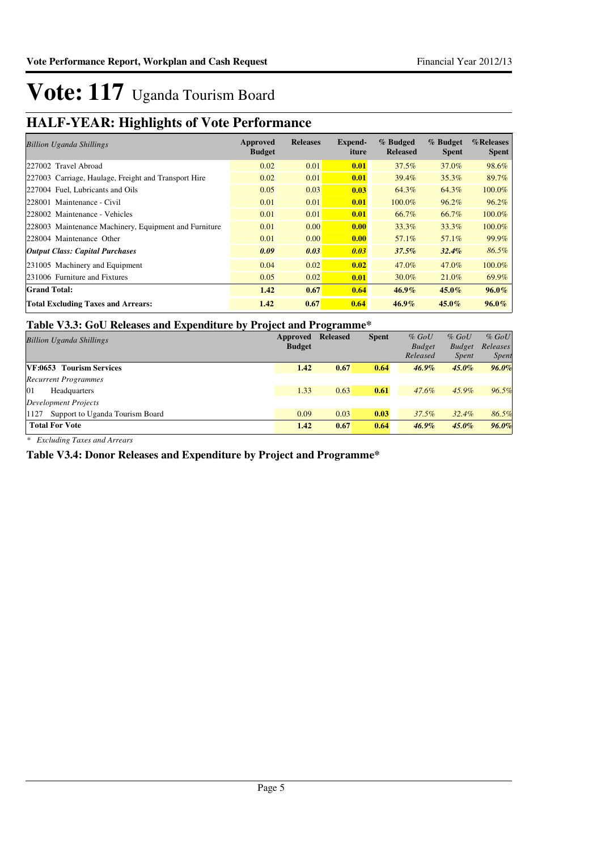## **HALF-YEAR: Highlights of Vote Performance**

| <b>Billion Uganda Shillings</b>                       | Approved<br><b>Budget</b> | <b>Releases</b> | Expend-<br>iture | % Budged<br><b>Released</b> | % Budget<br><b>Spent</b> | %Releases<br><b>Spent</b> |
|-------------------------------------------------------|---------------------------|-----------------|------------------|-----------------------------|--------------------------|---------------------------|
| 227002 Travel Abroad                                  | 0.02                      | 0.01            | 0.01             | 37.5%                       | 37.0%                    | 98.6%                     |
| 227003 Carriage, Haulage, Freight and Transport Hire  | 0.02                      | 0.01            | 0.01             | 39.4%                       | $35.3\%$                 | 89.7%                     |
| 227004 Fuel, Lubricants and Oils                      | 0.05                      | 0.03            | 0.03             | 64.3%                       | 64.3%                    | 100.0%                    |
| 228001 Maintenance - Civil                            | 0.01                      | 0.01            | 0.01             | 100.0%                      | 96.2%                    | 96.2%                     |
| 228002 Maintenance - Vehicles                         | 0.01                      | 0.01            | 0.01             | 66.7%                       | 66.7%                    | 100.0%                    |
| 228003 Maintenance Machinery, Equipment and Furniture | 0.01                      | 0.00            | 0.00             | 33.3%                       | $33.3\%$                 | 100.0%                    |
| 228004 Maintenance Other                              | 0.01                      | 0.00            | 0.00             | 57.1%                       | 57.1%                    | 99.9%                     |
| <b>Output Class: Capital Purchases</b>                | 0.09                      | 0.03            | 0.03             | 37.5%                       | $32.4\%$                 | 86.5%                     |
| 231005 Machinery and Equipment                        | 0.04                      | 0.02            | 0.02             | 47.0%                       | 47.0%                    | 100.0%                    |
| 231006 Furniture and Fixtures                         | 0.05                      | 0.02            | 0.01             | 30.0%                       | $21.0\%$                 | 69.9%                     |
| <b>Grand Total:</b>                                   | 1.42                      | 0.67            | 0.64             | $46.9\%$                    | 45.0%                    | $96.0\%$                  |
| <b>Total Excluding Taxes and Arrears:</b>             | 1.42                      | 0.67            | 0.64             | $46.9\%$                    | $45.0\%$                 | $96.0\%$                  |

### **Table V3.3: GoU Releases and Expenditure by Project and Programme\***

|                                         |               | . .             |              |               |               |              |
|-----------------------------------------|---------------|-----------------|--------------|---------------|---------------|--------------|
| <b>Billion Uganda Shillings</b>         | Approved      | <b>Released</b> | <b>Spent</b> | $%$ GoU       | $%$ GoU       | $%$ GoU      |
|                                         | <b>Budget</b> |                 |              | <b>Budget</b> | <b>Budget</b> | Releases     |
|                                         |               |                 |              | Released      | <i>Spent</i>  | <i>Spent</i> |
| <b>VF:0653 Tourism Services</b>         | 1.42          | 0.67            | 0.64         | $46.9\%$      | $45.0\%$      | 96.0%        |
| <b>Recurrent Programmes</b>             |               |                 |              |               |               |              |
| 01<br>Headquarters                      | 1.33          | 0.63            | 0.61         | 47.6%         | 45.9%         | 96.5%        |
| Development Projects                    |               |                 |              |               |               |              |
| Support to Uganda Tourism Board<br>1127 | 0.09          | 0.03            | 0.03         | $37.5\%$      | $32.4\%$      | 86.5%        |
| <b>Total For Vote</b>                   | 1.42          | 0.67            | 0.64         | $46.9\%$      | $45.0\%$      | 96.0%        |

*\* Excluding Taxes and Arrears*

### **Table V3.4: Donor Releases and Expenditure by Project and Programme\***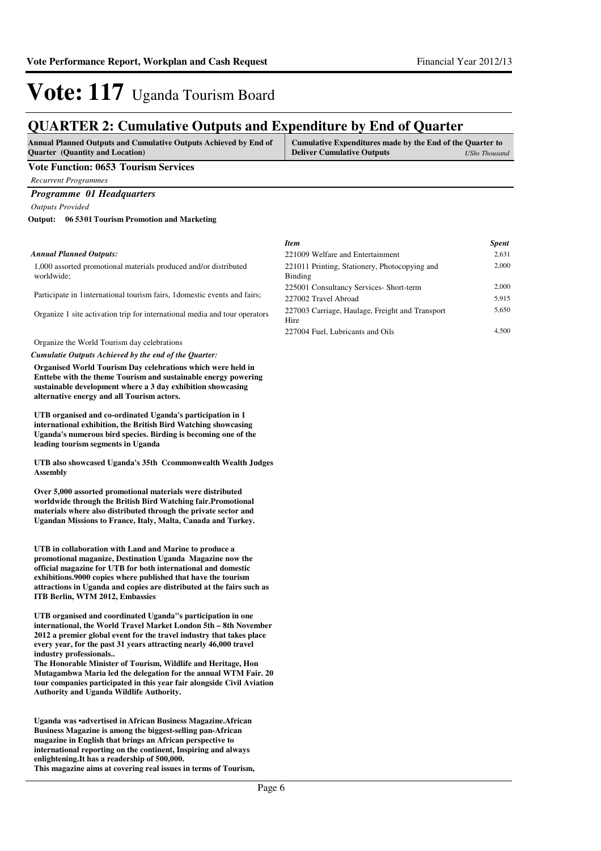## **QUARTER 2: Cumulative Outputs and Expenditure by End of Quarter**

| <b>Annual Planned Outputs and Cumulative Outputs Achieved by End of</b> | Cumulative Expenditures made by the End of the Quarter to |               |
|-------------------------------------------------------------------------|-----------------------------------------------------------|---------------|
| <b>Ouarter</b> (Quantity and Location)                                  | <b>Deliver Cumulative Outputs</b>                         | UShs Thousand |
|                                                                         |                                                           |               |

### **Vote Function: 0653 Tourism Services**

*Recurrent Programmes*

#### *Programme 01 Headquarters*

*Outputs Provided*

#### **06 5301 Tourism Promotion and Marketing Output:**

#### *Annual Planned Outputs:*

1,000 assorted promotional materials produced and/or distributed worldwide;

Participate in 1international tourism fairs, 1domestic events and fairs;

Organize 1 site activation trip for international media and tour operators

Organize the World Tourism day celebrations

*Cumulatie Outputs Achieved by the end of the Quarter:*

**Organised World Tourism Day celebrations which were held in Enttebe with the theme Tourism and sustainable energy powering sustainable development where a 3 day exhibition showcasing alternative energy and all Tourism actors.**

**UTB organised and co-ordinated Uganda's participation in 1 international exhibition, the British Bird Watching showcasing Uganda's numerous bird species. Birding is becoming one of the leading tourism segments in Uganda**

**UTB also showcased Uganda's 35th Ccommonwealth Wealth Judges Assembly**

**Over 5,000 assorted promotional materials were distributed worldwide through the British Bird Watching fair.Promotional materials where also distributed through the private sector and Ugandan Missions to France, Italy, Malta, Canada and Turkey.**

**UTB in collaboration with Land and Marine to produce a promotional maganize, Destination Uganda Magazine now the official magazine for UTB for both international and domestic exhibitions.9000 copies where published that have the tourism attractions in Uganda and copies are distributed at the fairs such as ITB Berlin, WTM 2012, Embassies** 

**UTB organised and coordinated Uganda"s participation in one international, the World Travel Market London 5th – 8th November 2012 a premier global event for the travel industry that takes place every year, for the past 31 years attracting nearly 46,000 travel industry professionals..**

**The Honorable Minister of Tourism, Wildlife and Heritage, Hon Mutagambwa Maria led the delegation for the annual WTM Fair. 20 tour companies participated in this year fair alongside Civil Aviation Authority and Uganda Wildlife Authority.**

**Uganda was •advertised in African Business Magazine .African Business Magazine is among the biggest-selling pan-African magazine in English that brings an African perspective to international reporting on the continent, Inspiring and always enlightening.It has a readership of 500,000. This magazine aims at covering real issues in terms of Tourism,** 

| <b>Spent</b> |
|--------------|
| 2,631        |
| 2,000        |
|              |
| 2,000        |
| 5,915        |
| 5,650        |
| 4.500        |
|              |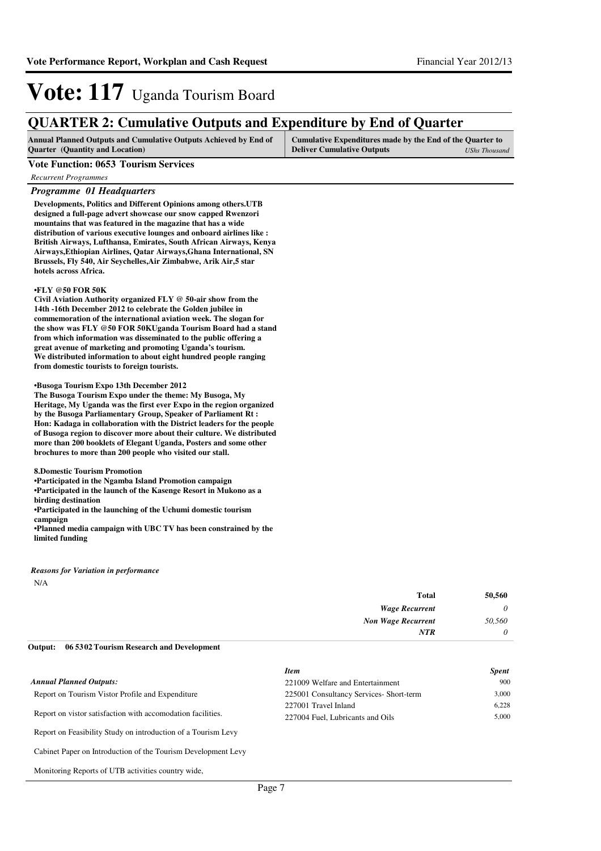### **QUARTER 2: Cumulative Outputs and Expenditure by End of Quarter**

| <b>Annual Planned Outputs and Cumulative Outputs Achieved by End of</b> | Cumulative Expenditures made by the End of the Quarter to |               |
|-------------------------------------------------------------------------|-----------------------------------------------------------|---------------|
| <b>Ouarter</b> (Quantity and Location)                                  | <b>Deliver Cumulative Outputs</b>                         | UShs Thousand |

#### **Vote Function: 0653 Tourism Services**

*Recurrent Programmes*

#### *Programme 01 Headquarters*

**Developments, Politics and Different Opinions among others.UTB designed a full-page advert showcase our snow capped Rwenzori mountains that was featured in the magazine that has a wide distribution of various executive lounges and onboard airlines like : British Airways, Lufthansa, Emirates, South African Airways, Kenya Airways,Ethiopian Airlines, Qatar Airways,Ghana International, SN Brussels, Fly 540, Air Seychelles,Air Zimbabwe, Arik Air,5 star hotels across Africa.**

#### **•FLY @50 FOR 50K**

**Civil Aviation Authority organized FLY @ 50-air show from the 14th -16th December 2012 to celebrate the Golden jubilee in commemoration of the international aviation week. The slogan for the show was FLY @50 FOR 50KUganda Tourism Board had a stand from which information was disseminated to the public offering a great avenue of marketing and promoting Uganda's tourism. We distributed information to about eight hundred people ranging from domestic tourists to foreign tourists.**

#### **•Busoga Tourism Expo 13th December 2012**

**The Busoga Tourism Expo under the theme: My Busoga, My Heritage, My Uganda was the first ever Expo in the region organized by the Busoga Parliamentary Group, Speaker of Parliament Rt : Hon: Kadaga in collaboration with the District leaders for the people of Busoga region to discover more about their culture. We distributed more than 200 booklets of Elegant Uganda, Posters and some other brochures to more than 200 people who visited our stall.**

**8.Domestic Tourism Promotion**

**•Participated in the Ngamba Island Promotion campaign** 

**•Participated in the launch of the Kasenge Resort i n Mukono as a birding destination**

**•Participated in the launching of the Uchumi domestic tourism campaign**

**•Planned media campaign with UBC TV has been constrained by the limited funding**

N/A *Reasons for Variation in performance*

| 50,560 | Total                     |
|--------|---------------------------|
| 0      | <b>Wage Recurrent</b>     |
| 50,560 | <b>Non Wage Recurrent</b> |
| 0      | <b>NTR</b>                |

#### **06 5302 Tourism Research and Development Output:**

|                                                               | <b>Item</b>                             | <b>Spent</b> |
|---------------------------------------------------------------|-----------------------------------------|--------------|
| <b>Annual Planned Outputs:</b>                                | 221009 Welfare and Entertainment        | 900          |
| Report on Tourism Vistor Profile and Expenditure              | 225001 Consultancy Services- Short-term | 3.000        |
|                                                               | 227001 Travel Inland                    | 6.228        |
| Report on vistor satisfaction with accomodation facilities.   | 227004 Fuel, Lubricants and Oils        | 5.000        |
| Report on Feasibility Study on introduction of a Tourism Levy |                                         |              |
| Cabinet Paper on Introduction of the Tourism Development Levy |                                         |              |

Monitoring Reports of UTB activities country wide,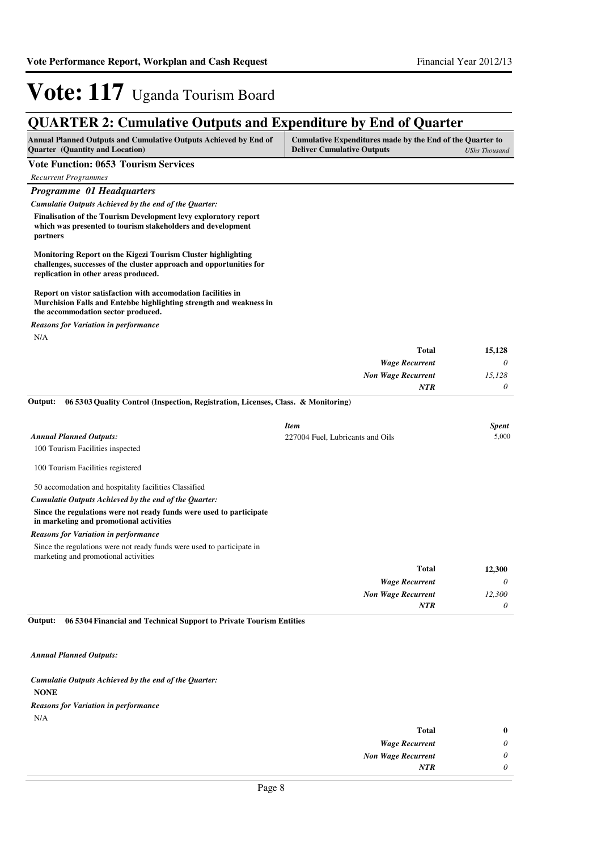## **QUARTER 2: Cumulative Outputs and Expenditure by End of Quarter**

| <b>Annual Planned Outputs and Cumulative Outputs Achieved by End of</b> | Cumulative Expenditures made by the End of the Quarter to |               |
|-------------------------------------------------------------------------|-----------------------------------------------------------|---------------|
| <b>Ouarter</b> (Quantity and Location)                                  | <b>Deliver Cumulative Outputs</b>                         | UShs Thousand |

### **Vote Function: 0653 Tourism Services**

| <b>Recurrent Programmes</b>                                                                                                                                                 |                                  |              |
|-----------------------------------------------------------------------------------------------------------------------------------------------------------------------------|----------------------------------|--------------|
| Programme 01 Headquarters                                                                                                                                                   |                                  |              |
| Cumulatie Outputs Achieved by the end of the Quarter:                                                                                                                       |                                  |              |
| Finalisation of the Tourism Development levy exploratory report<br>which was presented to tourism stakeholders and development<br>partners                                  |                                  |              |
| Monitoring Report on the Kigezi Tourism Cluster highlighting<br>challenges, successes of the cluster approach and opportunities for<br>replication in other areas produced. |                                  |              |
| Report on vistor satisfaction with accomodation facilities in<br>Murchision Falls and Entebbe highlighting strength and weakness in<br>the accommodation sector produced.   |                                  |              |
| <b>Reasons for Variation in performance</b>                                                                                                                                 |                                  |              |
| N/A                                                                                                                                                                         |                                  |              |
|                                                                                                                                                                             | <b>Total</b>                     | 15,128       |
|                                                                                                                                                                             | <b>Wage Recurrent</b>            | 0            |
|                                                                                                                                                                             | <b>Non Wage Recurrent</b>        | 15,128       |
|                                                                                                                                                                             | NTR                              | $\theta$     |
| Output:<br>06 5303 Quality Control (Inspection, Registration, Licenses, Class. & Monitoring)                                                                                |                                  |              |
|                                                                                                                                                                             | <b>Item</b>                      | <b>Spent</b> |
| <b>Annual Planned Outputs:</b>                                                                                                                                              | 227004 Fuel, Lubricants and Oils | 5,000        |
| 100 Tourism Facilities inspected                                                                                                                                            |                                  |              |
| 100 Tourism Facilities registered                                                                                                                                           |                                  |              |
| 50 accomodation and hospitality facilities Classified                                                                                                                       |                                  |              |
| Cumulatie Outputs Achieved by the end of the Quarter:                                                                                                                       |                                  |              |
| Since the regulations were not ready funds were used to participate<br>in marketing and promotional activities                                                              |                                  |              |
| <b>Reasons for Variation in performance</b>                                                                                                                                 |                                  |              |
|                                                                                                                                                                             |                                  |              |
| Since the regulations were not ready funds were used to participate in<br>marketing and promotional activities                                                              |                                  |              |
|                                                                                                                                                                             | <b>Total</b>                     | 12,300       |
|                                                                                                                                                                             | <b>Wage Recurrent</b>            | $\theta$     |
|                                                                                                                                                                             | <b>Non Wage Recurrent</b>        | 12,300       |
|                                                                                                                                                                             | <b>NTR</b>                       | $\theta$     |

*Annual Planned Outputs:*

#### **NONE** *Cumulatie Outputs Achieved by the end of the Quarter:*

*Reasons for Variation in performance*

N/A

| $\bf{0}$ | Total                     |
|----------|---------------------------|
| $\theta$ | <b>Wage Recurrent</b>     |
| 0        | <b>Non Wage Recurrent</b> |
|          | NTR                       |
|          |                           |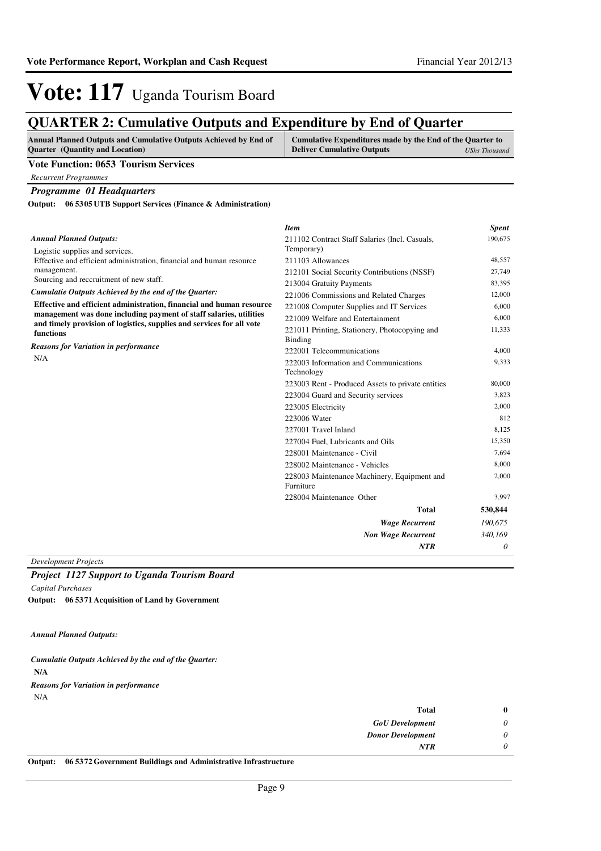## **QUARTER 2: Cumulative Outputs and Expenditure by End of Quarter**

| <b>Annual Planned Outputs and Cumulative Outputs Achieved by End of</b> | Cumulative Expenditures made by the End of the Quarter to |               |
|-------------------------------------------------------------------------|-----------------------------------------------------------|---------------|
| <b>Ouarter</b> (Quantity and Location)                                  | <b>Deliver Cumulative Outputs</b>                         | UShs Thousand |

#### **Vote Function: 0653 Tourism Services**

*Recurrent Programmes*

### *Programme 01 Headquarters*

**06 5305 UTB Support Services (Finance & Administration) Output:**

|                                                                                    | <b>Item</b>                                              | <b>Spent</b> |
|------------------------------------------------------------------------------------|----------------------------------------------------------|--------------|
| <b>Annual Planned Outputs:</b>                                                     | 211102 Contract Staff Salaries (Incl. Casuals,           | 190,675      |
| Logistic supplies and services.                                                    | Temporary)                                               |              |
| Effective and efficient administration, financial and human resource               | 211103 Allowances                                        | 48,557       |
| management.                                                                        | 212101 Social Security Contributions (NSSF)              | 27,749       |
| Sourcing and reccruitment of new staff.                                            | 213004 Gratuity Payments                                 | 83,395       |
| Cumulatie Outputs Achieved by the end of the Quarter:                              | 221006 Commissions and Related Charges                   | 12,000       |
| Effective and efficient administration, financial and human resource               | 221008 Computer Supplies and IT Services                 | 6.000        |
| management was done including payment of staff salaries, utilities                 | 221009 Welfare and Entertainment                         | 6,000        |
| and timely provision of logistics, supplies and services for all vote<br>functions | 221011 Printing, Stationery, Photocopying and<br>Binding | 11,333       |
| <b>Reasons for Variation in performance</b>                                        | 222001 Telecommunications                                | 4.000        |
| N/A                                                                                | 222003 Information and Communications                    | 9,333        |
|                                                                                    | Technology                                               |              |
|                                                                                    | 223003 Rent - Produced Assets to private entities        | 80,000       |
|                                                                                    | 223004 Guard and Security services                       | 3,823        |
|                                                                                    | 223005 Electricity                                       | 2.000        |
|                                                                                    | 223006 Water                                             | 812          |
|                                                                                    | 227001 Travel Inland                                     | 8,125        |
|                                                                                    | 227004 Fuel, Lubricants and Oils                         | 15,350       |
|                                                                                    | 228001 Maintenance - Civil                               | 7,694        |
|                                                                                    | 228002 Maintenance - Vehicles                            | 8,000        |
|                                                                                    | 228003 Maintenance Machinery, Equipment and<br>Furniture | 2,000        |
|                                                                                    | 228004 Maintenance Other                                 | 3,997        |
|                                                                                    | <b>Total</b>                                             | 530,844      |
|                                                                                    | <b>Wage Recurrent</b>                                    | 190,675      |
|                                                                                    | <b>Non Wage Recurrent</b>                                | 340,169      |
|                                                                                    | <b>NTR</b>                                               | 0            |
|                                                                                    |                                                          |              |

*Development Projects*

### *Project 1127 Support to Uganda Tourism Board Capital Purchases*

**06 5371 Acquisition of Land by Government Output:**

*Annual Planned Outputs:*

**N/A** *Cumulatie Outputs Achieved by the end of the Quarter:* N/A *Reasons for Variation in performance*

| $0.6$ and $0.6$ $0.7$ $0.7$ $0.00$ $0.000$ $0.000$ $0.000$ $0.000$ $0.000$ $0.000$ $0.000$ $0.000$ $0.000$ $0.000$ $0.000$ $0.000$ $0.000$ $0.000$ $0.000$ $0.000$ $0.000$ $0.000$ $0.000$ $0.000$ $0.000$ $0.000$ $0.000$ $0$ |                          |  |
|--------------------------------------------------------------------------------------------------------------------------------------------------------------------------------------------------------------------------------|--------------------------|--|
|                                                                                                                                                                                                                                | NTR                      |  |
|                                                                                                                                                                                                                                | <b>Donor Development</b> |  |
|                                                                                                                                                                                                                                | <b>GoU</b> Development   |  |
|                                                                                                                                                                                                                                | <b>Total</b>             |  |

**Output: 06 5372 Government Buildings and Administrative Infrastructure**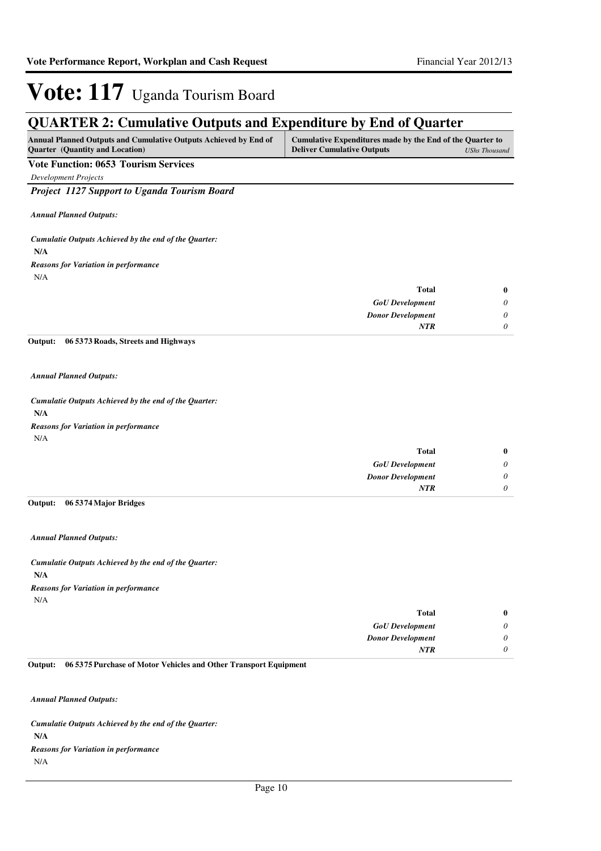## **QUARTER 2: Cumulative Outputs and Expenditure by End of Quarter**

| <b>Annual Planned Outputs and Cumulative Outputs Achieved by End of</b> | Cumulative Expenditures made by the End of the Quarter to |               |
|-------------------------------------------------------------------------|-----------------------------------------------------------|---------------|
| <b>Quarter</b> (Quantity and Location)                                  | <b>Deliver Cumulative Outputs</b>                         | UShs Thousand |

### **Vote Function: 0653 Tourism Services**

*Development Projects*

*Project 1127 Support to Uganda Tourism Board*

*Annual Planned Outputs:*

**N/A** *Cumulatie Outputs Achieved by the end of the Quarter:* N/A *Reasons for Variation in performance*

| <b>Total</b>             | $\bf{0}$ |
|--------------------------|----------|
| <b>GoU</b> Development   | 0        |
| <b>Donor Development</b> | 0        |
| <b>NTR</b>               | 0        |

**06 5373 Roads, Streets and Highways Output:**

*Annual Planned Outputs:*

**N/A** *Cumulatie Outputs Achieved by the end of the Quarter:* N/A *Reasons for Variation in performance*

| $\bf{0}$ | <b>Total</b>             |
|----------|--------------------------|
| $\theta$ | <b>GoU</b> Development   |
| $\theta$ | <b>Donor Development</b> |
|          | <b>NTR</b>               |
|          |                          |

#### **06 5374 Major Bridges Output:**

*Annual Planned Outputs:*

**N/A** *Cumulatie Outputs Achieved by the end of the Quarter:* N/A *Reasons for Variation in performance*

| $\bf{0}$ | <b>Total</b>             |
|----------|--------------------------|
| 0        | <b>GoU</b> Development   |
| $\theta$ | <b>Donor Development</b> |
|          | <b>NTR</b>               |
|          |                          |

#### **06 5375 Purchase of Motor Vehicles and Other Transport Equipment Output:**

*Annual Planned Outputs:*

**N/A** *Cumulatie Outputs Achieved by the end of the Quarter:* N/A *Reasons for Variation in performance*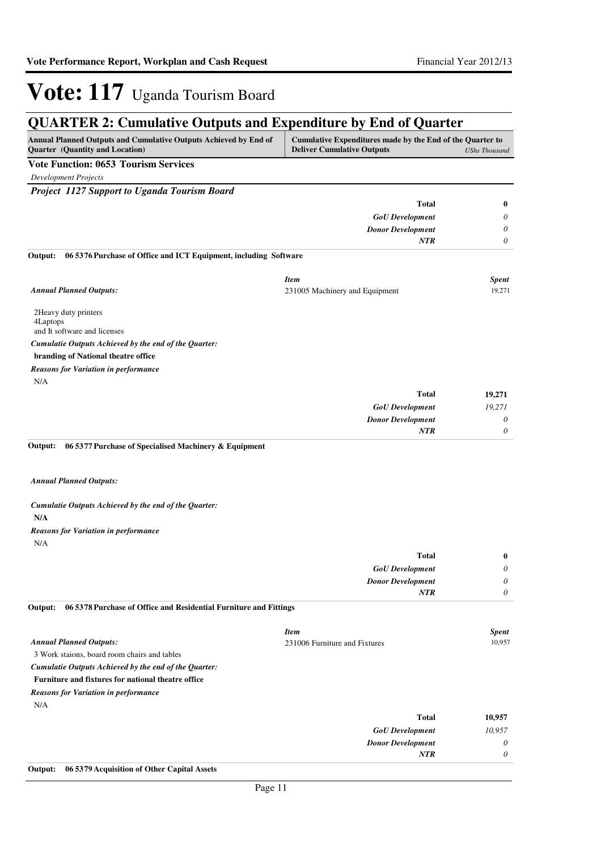| <b>QUARTER 2: Cumulative Outputs and Expenditure by End of Quarter</b>                              |                                                                                                |                       |
|-----------------------------------------------------------------------------------------------------|------------------------------------------------------------------------------------------------|-----------------------|
| Annual Planned Outputs and Cumulative Outputs Achieved by End of<br>Quarter (Quantity and Location) | Cumulative Expenditures made by the End of the Quarter to<br><b>Deliver Cumulative Outputs</b> | <b>UShs Thousand</b>  |
| <b>Vote Function: 0653 Tourism Services</b>                                                         |                                                                                                |                       |
| <b>Development Projects</b>                                                                         |                                                                                                |                       |
| Project 1127 Support to Uganda Tourism Board                                                        |                                                                                                |                       |
|                                                                                                     | Total                                                                                          | $\bf{0}$              |
|                                                                                                     | <b>GoU</b> Development                                                                         | 0                     |
|                                                                                                     | <b>Donor Development</b>                                                                       | 0                     |
|                                                                                                     | <b>NTR</b>                                                                                     | 0                     |
| 06 53 76 Purchase of Office and ICT Equipment, including Software<br>Output:                        |                                                                                                |                       |
|                                                                                                     | <b>Item</b>                                                                                    | Spent                 |
| <b>Annual Planned Outputs:</b>                                                                      | 231005 Machinery and Equipment                                                                 | 19,271                |
|                                                                                                     |                                                                                                |                       |
| 2Heavy duty printers                                                                                |                                                                                                |                       |
| 4Laptops<br>and It software and licenses                                                            |                                                                                                |                       |
| Cumulatie Outputs Achieved by the end of the Quarter:                                               |                                                                                                |                       |
| branding of National theatre office                                                                 |                                                                                                |                       |
| <b>Reasons for Variation in performance</b>                                                         |                                                                                                |                       |
| N/A                                                                                                 |                                                                                                |                       |
|                                                                                                     | <b>Total</b>                                                                                   | 19,271                |
|                                                                                                     | <b>GoU</b> Development                                                                         | 19,271                |
|                                                                                                     | <b>Donor Development</b>                                                                       | $\boldsymbol{\theta}$ |
|                                                                                                     | NTR                                                                                            | 0                     |
| Output:<br>06 5377 Purchase of Specialised Machinery & Equipment                                    |                                                                                                |                       |
| <b>Annual Planned Outputs:</b>                                                                      |                                                                                                |                       |
|                                                                                                     |                                                                                                |                       |
| Cumulatie Outputs Achieved by the end of the Quarter:                                               |                                                                                                |                       |
| N/A                                                                                                 |                                                                                                |                       |
| <b>Reasons for Variation in performance</b>                                                         |                                                                                                |                       |
| N/A                                                                                                 |                                                                                                |                       |
|                                                                                                     | Total                                                                                          | $\bf{0}$              |
|                                                                                                     | ${\it GoU}$ Development                                                                        | 0                     |
|                                                                                                     | <b>Donor Development</b>                                                                       | 0                     |
| 06 5378 Purchase of Office and Residential Furniture and Fittings<br>Output:                        | <b>NTR</b>                                                                                     | 0                     |
|                                                                                                     |                                                                                                |                       |
|                                                                                                     | <b>Item</b>                                                                                    | Spent                 |
| <b>Annual Planned Outputs:</b>                                                                      | 231006 Furniture and Fixtures                                                                  | 10,957                |
| 3 Work staions, board room chairs and tables                                                        |                                                                                                |                       |
| Cumulatie Outputs Achieved by the end of the Quarter:                                               |                                                                                                |                       |

### **Furniture and fixtures for national theatre office**

*Reasons for Variation in performance*

N/A

| 10,957 | <b>Total</b>             |
|--------|--------------------------|
| 10,957 | <b>GoU</b> Development   |
| 0      | <b>Donor Development</b> |
| 0      | <b>NTR</b>               |
|        |                          |

**Output: 06 5379 Acquisition of Other Capital Assets**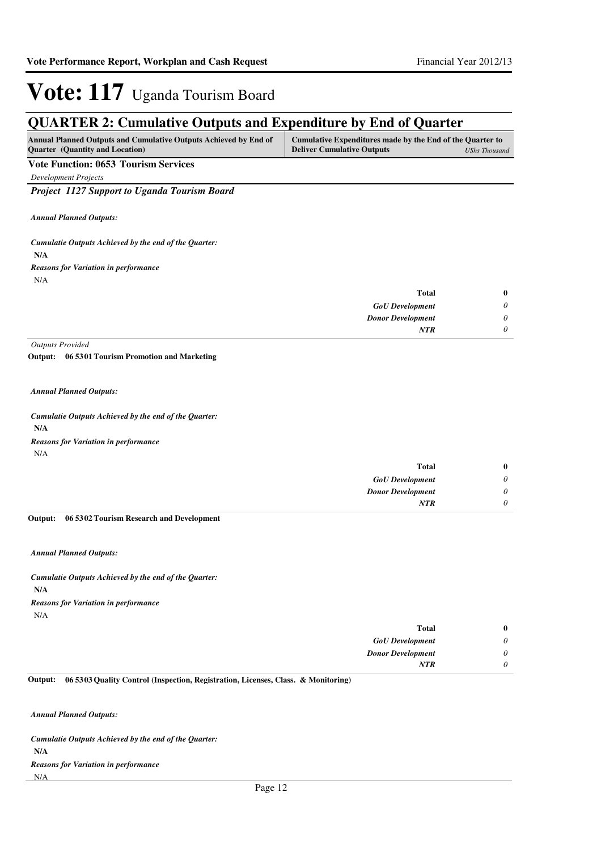## **QUARTER 2: Cumulative Outputs and Expenditure by End of Quarter**

| <b>Annual Planned Outputs and Cumulative Outputs Achieved by End of</b> | Cumulative Expenditures made by the End of the Quarter to |               |
|-------------------------------------------------------------------------|-----------------------------------------------------------|---------------|
| <b>Ouarter</b> (Quantity and Location)                                  | <b>Deliver Cumulative Outputs</b>                         | UShs Thousand |

### **Vote Function: 0653 Tourism Services**

*Development Projects*

*Project 1127 Support to Uganda Tourism Board*

*Annual Planned Outputs:*

**N/A** *Cumulatie Outputs Achieved by the end of the Quarter:* N/A *Reasons for Variation in performance*

| $\bf{0}$ | <b>Total</b>             |
|----------|--------------------------|
| 0        | <b>GoU</b> Development   |
| 0        | <b>Donor Development</b> |
| 0        | <b>NTR</b>               |
|          |                          |

*Outputs Provided*

**06 5301 Tourism Promotion and Marketing Output:**

*Annual Planned Outputs:*

**N/A** *Cumulatie Outputs Achieved by the end of the Quarter:* N/A *Reasons for Variation in performance*

| $\bf{0}$ | <b>Total</b>             |
|----------|--------------------------|
| $\theta$ | <b>GoU</b> Development   |
| 0        | <b>Donor Development</b> |
| 0        | <b>NTR</b>               |

#### **06 5302 Tourism Research and Development Output:**

*Annual Planned Outputs:*

**N/A** *Cumulatie Outputs Achieved by the end of the Quarter:* N/A *Reasons for Variation in performance*

| $\bf{0}$                    | <b>Total</b>             |
|-----------------------------|--------------------------|
| $\boldsymbol{\mathsf{\nu}}$ | <b>GoU</b> Development   |
| U                           | <b>Donor Development</b> |
| U                           | <b>NTR</b>               |
|                             |                          |

**06 5303 Quality Control (Inspection, Registration, Licenses, Class. & Monitoring) Output:**

*Annual Planned Outputs:*

**N/A** *Cumulatie Outputs Achieved by the end of the Quarter:* N/A *Reasons for Variation in performance*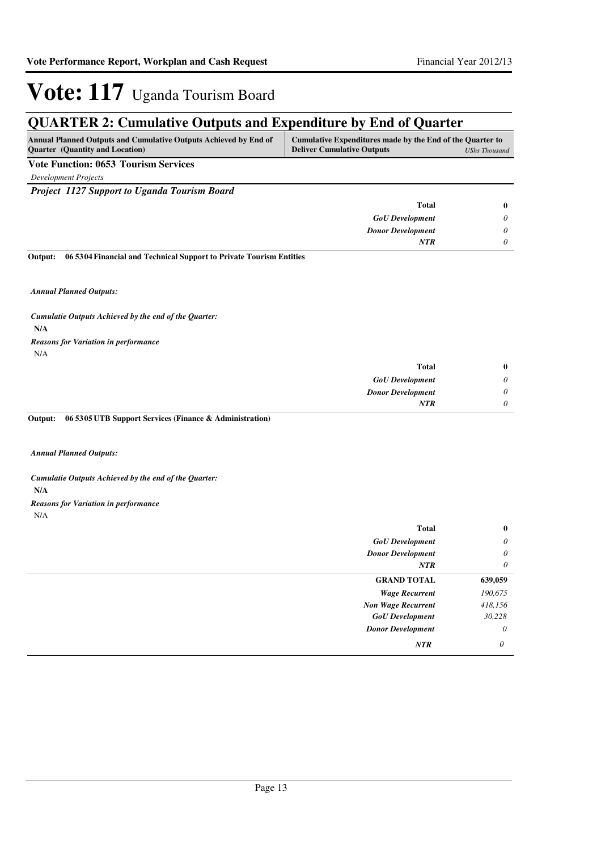## **QUARTER 2: Cumulative Outputs and Expenditure by End of Quarter**

| Cumulative Expenditures made by the End of the Quarter to<br><b>Annual Planned Outputs and Cumulative Outputs Achieved by End of</b><br><b>Ouarter</b> (Quantity and Location)<br><b>Deliver Cumulative Outputs</b><br>UShs Thousand |  |
|--------------------------------------------------------------------------------------------------------------------------------------------------------------------------------------------------------------------------------------|--|
|                                                                                                                                                                                                                                      |  |
|                                                                                                                                                                                                                                      |  |

**Vote Function: 0653 Tourism Services**

*Development Projects*

*Project 1127 Support to Uganda Tourism Board*

| <b>Total</b>             |  |
|--------------------------|--|
| <b>GoU</b> Development   |  |
| <b>Donor Development</b> |  |
| <b>NTR</b>               |  |
|                          |  |

**06 5304 Financial and Technical Support to Private Tourism Entities Output:**

*Annual Planned Outputs:*

**N/A** *Cumulatie Outputs Achieved by the end of the Quarter:* N/A *Reasons for Variation in performance*

| $\bf{0}$ | <b>Total</b>             |
|----------|--------------------------|
| 0        | <b>GoU</b> Development   |
| 0        | <b>Donor Development</b> |
| 0        | <b>NTR</b>               |

**06 5305 UTB Support Services (Finance & Administration) Output:**

*Annual Planned Outputs:*

**N/A** *Cumulatie Outputs Achieved by the end of the Quarter: Reasons for Variation in performance*

N/A

| <b>Total</b>              | $\bf{0}$ |
|---------------------------|----------|
| <b>GoU</b> Development    | $\theta$ |
| <b>Donor Development</b>  | $\theta$ |
| NTR                       | $\theta$ |
| <b>GRAND TOTAL</b>        | 639,059  |
| <b>Wage Recurrent</b>     | 190,675  |
| <b>Non Wage Recurrent</b> | 418,156  |
| <b>GoU</b> Development    | 30,228   |
| <b>Donor Development</b>  | $\theta$ |
| NTR                       | $\theta$ |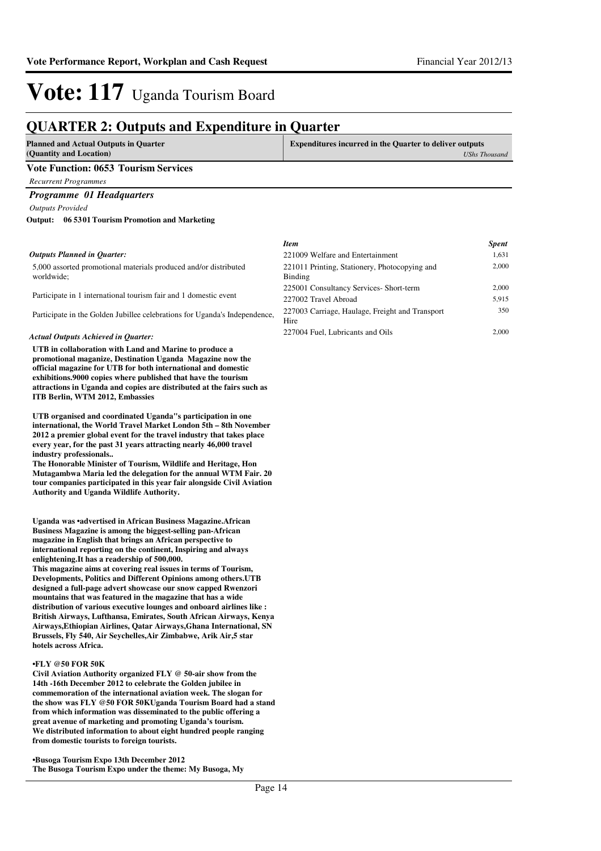## **QUARTER 2: Outputs and Expenditure in Quarter**

| <b>Planned and Actual Outputs in Quarter</b> | <b>Expenditures incurred in the Quarter to deliver outputs</b> |
|----------------------------------------------|----------------------------------------------------------------|
| (Quantity and Location)                      | <b>UShs Thousand</b>                                           |
| <b>Vote Function: 0653 Tourism Services</b>  |                                                                |
| Recurrent Programmes                         |                                                                |
| <b>Programme 01 Headquarters</b>             |                                                                |
| <b>Outputs Provided</b>                      |                                                                |

**06 5301 Tourism Promotion and Marketing Output:**

#### *Outputs Planned in Quarter:*

5,000 assorted promotional materials produced and/or distributed worldwide;

Participate in 1 international tourism fair and 1 domestic event

Participate in the Golden Jubillee celebrations for Uganda's Independence,

#### *Actual Outputs Achieved in Quarter:*

**UTB in collaboration with Land and Marine to produce a promotional maganize, Destination Uganda Magazine now the official magazine for UTB for both international and domestic exhibitions.9000 copies where published that have the tourism attractions in Uganda and copies are distributed at the fairs such as ITB Berlin, WTM 2012, Embassies** 

**UTB organised and coordinated Uganda"s participation in one international, the World Travel Market London 5th – 8th November 2012 a premier global event for the travel industry that takes place every year, for the past 31 years attracting nearly 46,000 travel industry professionals..**

**The Honorable Minister of Tourism, Wildlife and Heritage, Hon Mutagambwa Maria led the delegation for the annual WTM Fair. 20 tour companies participated in this year fair alongside Civil Aviation Authority and Uganda Wildlife Authority.**

**Uganda was •advertised in African Business Magazine .African Business Magazine is among the biggest-selling pan-African magazine in English that brings an African perspective to international reporting on the continent, Inspiring and always enlightening.It has a readership of 500,000.**

**This magazine aims at covering real issues in terms of Tourism, Developments, Politics and Different Opinions among others.UTB designed a full-page advert showcase our snow capped Rwenzori mountains that was featured in the magazine that has a wide distribution of various executive lounges and onboard airlines like : British Airways, Lufthansa, Emirates, South African Airways, Kenya Airways,Ethiopian Airlines, Qatar Airways,Ghana International, SN Brussels, Fly 540, Air Seychelles,Air Zimbabwe, Arik Air,5 star hotels across Africa.**

#### **•FLY @50 FOR 50K**

**Civil Aviation Authority organized FLY @ 50-air show from the 14th -16th December 2012 to celebrate the Golden jubilee in commemoration of the international aviation week. The slogan for the show was FLY @50 FOR 50KUganda Tourism Board had a stand from which information was disseminated to the public offering a great avenue of marketing and promoting Uganda's tourism. We distributed information to about eight hundred people ranging from domestic tourists to foreign tourists.**

**•Busoga Tourism Expo 13th December 2012 The Busoga Tourism Expo under the theme: My Busoga, My** 

| Item                                                     | <b>Spent</b> |
|----------------------------------------------------------|--------------|
| 221009 Welfare and Entertainment                         | 1,631        |
| 221011 Printing, Stationery, Photocopying and<br>Binding | 2,000        |
| 225001 Consultancy Services- Short-term                  | 2.000        |
| 227002 Travel Abroad                                     | 5,915        |
| 227003 Carriage, Haulage, Freight and Transport<br>Hire  | 350          |
| 227004 Fuel, Lubricants and Oils                         | 2.000        |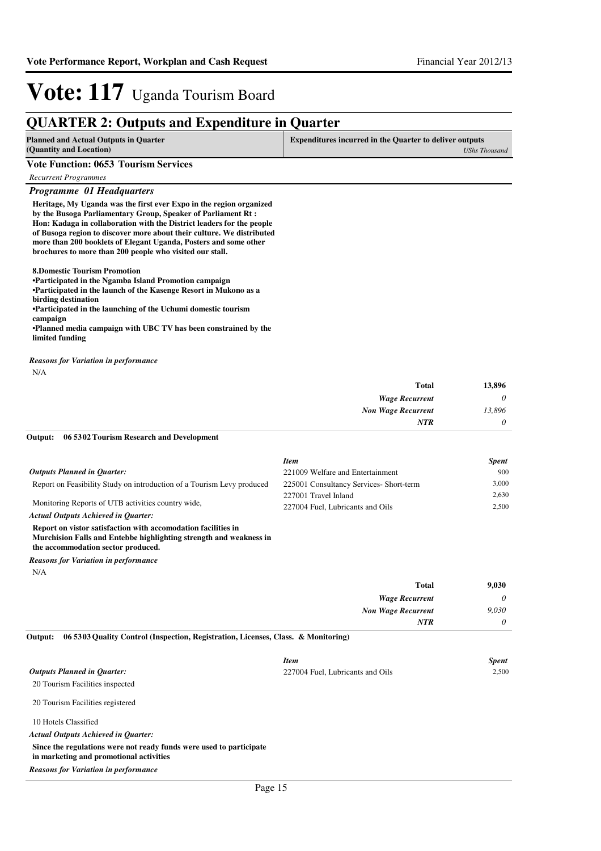### **QUARTER 2: Outputs and Expenditure in Quarter**

| <b>Planned and Actual Outputs in Quarter</b><br>(Quantity and Location) | <b>Expenditures incurred in the Quarter to deliver outputs</b><br>UShs Thousand |
|-------------------------------------------------------------------------|---------------------------------------------------------------------------------|
| <b>Vote Function: 0653 Tourism Services</b>                             |                                                                                 |
| Recurrent Programmes                                                    |                                                                                 |
| <b>Programme 01 Headquarters</b>                                        |                                                                                 |

**Heritage, My Uganda was the first ever Expo in the region organized by the Busoga Parliamentary Group, Speaker of Parliament Rt : Hon: Kadaga in collaboration with the District leaders for the people of Busoga region to discover more about their culture. We distributed more than 200 booklets of Elegant Uganda, Posters and some other brochures to more than 200 people who visited our stall.**

**8.Domestic Tourism Promotion**

**•Participated in the Ngamba Island Promotion campaign •Participated in the launch of the Kasenge Resort i n Mukono as a** 

**birding destination**

**•Participated in the launching of the Uchumi domestic tourism** 

**campaign**

**•Planned media campaign with UBC TV has been constrained by the limited funding**

*Reasons for Variation in performance*

| × |
|---|
|   |

| 13,896   | <b>Total</b>              |
|----------|---------------------------|
| $\theta$ | <b>Wage Recurrent</b>     |
| 13,896   | <b>Non Wage Recurrent</b> |
| $\theta$ | <b>NTR</b>                |

#### **06 5302 Tourism Research and Development Output:**

|                                                                        | <b>Item</b>                            | <b>Spent</b> |
|------------------------------------------------------------------------|----------------------------------------|--------------|
| <b>Outputs Planned in Ouarter:</b>                                     | 221009 Welfare and Entertainment       | 900          |
| Report on Feasibility Study on introduction of a Tourism Levy produced | 225001 Consultancy Services-Short-term | 3.000        |
| Monitoring Reports of UTB activities country wide.                     | 227001 Travel Inland                   | 2.630        |
|                                                                        | 227004 Fuel. Lubricants and Oils       | 2.500        |
| <b>Actual Outputs Achieved in Ouarter:</b>                             |                                        |              |
| Report on vistor satisfaction with accomodation facilities in          |                                        |              |
| Murchision Falls and Entebbe highlighting strength and weakness in     |                                        |              |

**the accommodation sector produced.**

N/A *Reasons for Variation in performance*

| 9,030    | <b>Total</b>              |
|----------|---------------------------|
| $\theta$ | <b>Wage Recurrent</b>     |
| 9,030    | <b>Non Wage Recurrent</b> |
| 0        | <b>NTR</b>                |
|          |                           |

#### **06 5303 Quality Control (Inspection, Registration, Licenses, Class. & Monitoring) Output:**

|                                                                                                                | <b>Item</b>                      | <b>Spent</b> |
|----------------------------------------------------------------------------------------------------------------|----------------------------------|--------------|
| <b>Outputs Planned in Quarter:</b>                                                                             | 227004 Fuel, Lubricants and Oils | 2.500        |
| 20 Tourism Facilities inspected                                                                                |                                  |              |
| 20 Tourism Facilities registered                                                                               |                                  |              |
| 10 Hotels Classified                                                                                           |                                  |              |
| <b>Actual Outputs Achieved in Ouarter:</b>                                                                     |                                  |              |
| Since the regulations were not ready funds were used to participate<br>in marketing and promotional activities |                                  |              |
| <b>Reasons for Variation in performance</b>                                                                    |                                  |              |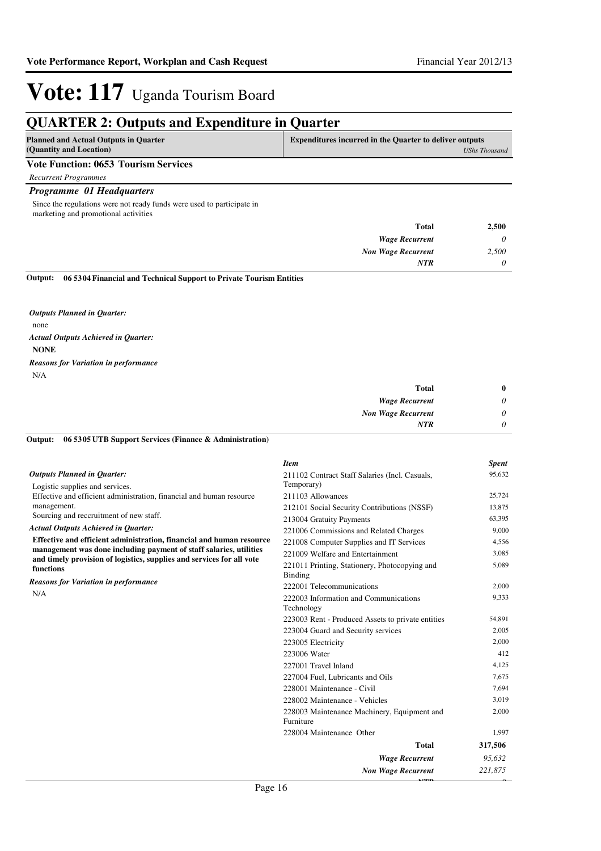## **QUARTER 2: Outputs and Expenditure in Quarter**

| <b>Planned and Actual Outputs in Quarter</b><br>(Quantity and Location) | <b>Expenditures incurred in the Quarter to deliver outputs</b><br><b>UShs Thousand</b> |
|-------------------------------------------------------------------------|----------------------------------------------------------------------------------------|
| <b>Vote Function: 0653 Tourism Services</b>                             |                                                                                        |
| <b>Recurrent Programmes</b>                                             |                                                                                        |
| <b>Programme 01 Headquarters</b>                                        |                                                                                        |
| Since the regulations were not ready funds were used to participate in  |                                                                                        |

marketing and promotional activities

| 2,500    | <b>Total</b>              |
|----------|---------------------------|
| $\theta$ | <b>Wage Recurrent</b>     |
| 2,500    | <b>Non Wage Recurrent</b> |
| $\theta$ | <b>NTR</b>                |
|          |                           |

**06 5304 Financial and Technical Support to Private Tourism Entities Output:**

none **NONE** *Actual Outputs Achieved in Quarter: Outputs Planned in Quarter:* N/A *Reasons for Variation in performance*

| <b>Total</b>              | $\bf{0}$ |
|---------------------------|----------|
| <b>Wage Recurrent</b>     | $\theta$ |
| <b>Non Wage Recurrent</b> | $\theta$ |
| NTR                       | $\theta$ |

#### **06 5305 UTB Support Services (Finance & Administration) Output:**

|                                                                                    | <b>Item</b>                                              | <b>Spent</b> |
|------------------------------------------------------------------------------------|----------------------------------------------------------|--------------|
| <b>Outputs Planned in Ouarter:</b>                                                 | 211102 Contract Staff Salaries (Incl. Casuals,           | 95,632       |
| Logistic supplies and services.                                                    | Temporary)                                               |              |
| Effective and efficient administration, financial and human resource               | 211103 Allowances                                        | 25,724       |
| management.                                                                        | 212101 Social Security Contributions (NSSF)              | 13,875       |
| Sourcing and reccruitment of new staff.                                            | 213004 Gratuity Payments                                 | 63,395       |
| <b>Actual Outputs Achieved in Quarter:</b>                                         | 221006 Commissions and Related Charges                   | 9,000        |
| Effective and efficient administration, financial and human resource               | 221008 Computer Supplies and IT Services                 | 4,556        |
| management was done including payment of staff salaries, utilities                 | 221009 Welfare and Entertainment                         | 3,085        |
| and timely provision of logistics, supplies and services for all vote<br>functions | 221011 Printing, Stationery, Photocopying and<br>Binding | 5,089        |
| <b>Reasons for Variation in performance</b>                                        | 222001 Telecommunications                                | 2,000        |
| N/A                                                                                | 222003 Information and Communications<br>Technology      | 9,333        |
|                                                                                    | 223003 Rent - Produced Assets to private entities        | 54,891       |
|                                                                                    | 223004 Guard and Security services                       | 2,005        |
|                                                                                    | 223005 Electricity                                       | 2,000        |
|                                                                                    | 223006 Water                                             | 412          |
|                                                                                    | 227001 Travel Inland                                     | 4,125        |
|                                                                                    | 227004 Fuel, Lubricants and Oils                         | 7,675        |
|                                                                                    | 228001 Maintenance - Civil                               | 7,694        |
|                                                                                    | 228002 Maintenance - Vehicles                            | 3,019        |
|                                                                                    | 228003 Maintenance Machinery, Equipment and<br>Furniture | 2,000        |
|                                                                                    | 228004 Maintenance Other                                 | 1,997        |
|                                                                                    | <b>Total</b>                                             | 317,506      |
|                                                                                    | <b>Wage Recurrent</b>                                    | 95,632       |
|                                                                                    | <b>Non Wage Recurrent</b>                                | 221,875      |
| $D_{\text{max}}$ 16                                                                |                                                          |              |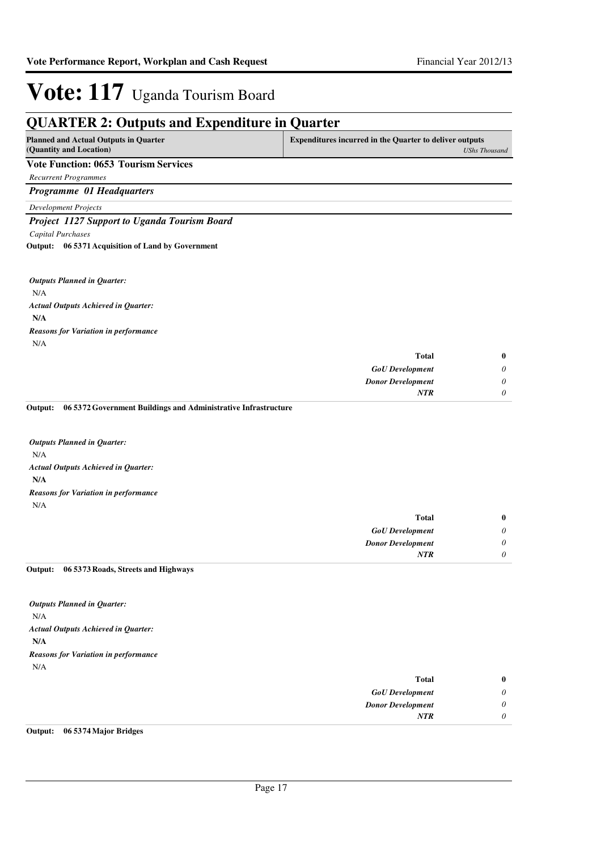#### **QUARTER 2: Outputs and Expenditure in Quarter Planned and Actual Outputs in Quarter (Quantity and Location) Expenditures incurred in the Quarter to deliver outputs**  *UShs Thousand* **Vote Function: 0653 Tourism Services** *Recurrent Programmes Programme 01 Headquarters Development Projects Project 1127 Support to Uganda Tourism Board Capital Purchases* N/A **N/A 06 5371 Acquisition of Land by Government Output:** *GoU Development Donor Development* **Total** *0 0 0* **0** *Actual Outputs Achieved in Quarter: Outputs Planned in Quarter: NTR* N/A *Reasons for Variation in performance* **06 5372 Government Buildings and Administrative Infrastructure Output:**

N/A **N/A** *Actual Outputs Achieved in Quarter: Outputs Planned in Quarter:* N/A *Reasons for Variation in performance*

|          | <b>Total</b>             |
|----------|--------------------------|
| $\theta$ | <b>GoU</b> Development   |
| $\theta$ | <b>Donor Development</b> |
| 0        | <b>NTR</b>               |
|          |                          |

#### **06 5373 Roads, Streets and Highways Output:**

N/A **N/A** *Actual Outputs Achieved in Quarter: Outputs Planned in Quarter:* N/A *Reasons for Variation in performance*

| <b>Total</b>             | $\bf{0}$ |
|--------------------------|----------|
| <b>GoU</b> Development   | 0        |
| <b>Donor Development</b> | 0        |
| <b>NTR</b>               | 0        |
|                          |          |

#### **Output: 06 5374 Major Bridges**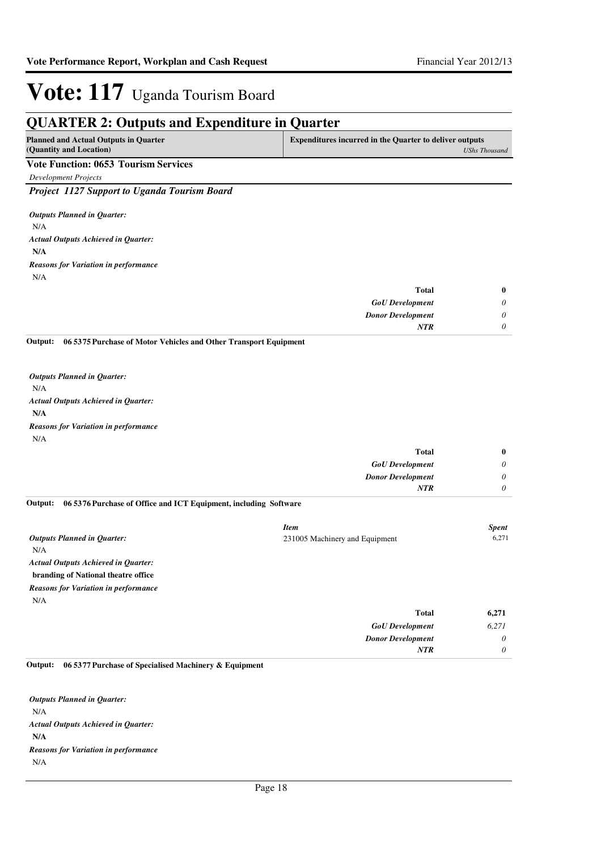*0*

*Donor Development*

*NTR*

# **Vote: 117** Uganda Tourism Board

## **QUARTER 2: Outputs and Expenditure in Quarter**

| ∼                                                                       |                                                                |                      |
|-------------------------------------------------------------------------|----------------------------------------------------------------|----------------------|
| <b>Planned and Actual Outputs in Quarter</b><br>(Quantity and Location) | <b>Expenditures incurred in the Quarter to deliver outputs</b> | <b>UShs Thousand</b> |
| <b>Vote Function: 0653 Tourism Services</b>                             |                                                                |                      |
| Development Projects                                                    |                                                                |                      |
| Project 1127 Support to Uganda Tourism Board                            |                                                                |                      |
| <b>Outputs Planned in Quarter:</b>                                      |                                                                |                      |
| N/A                                                                     |                                                                |                      |
| <b>Actual Outputs Achieved in Quarter:</b>                              |                                                                |                      |
| N/A                                                                     |                                                                |                      |
| <b>Reasons for Variation in performance</b>                             |                                                                |                      |
| N/A                                                                     |                                                                |                      |
|                                                                         | <b>Total</b>                                                   | $\bf{0}$             |
|                                                                         | <b>GoU</b> Development                                         | $\theta$             |
|                                                                         | <b>Donor Development</b>                                       | 0                    |

**06 5375 Purchase of Motor Vehicles and Other Transport Equipment Output:**

N/A **N/A** *Actual Outputs Achieved in Quarter: Outputs Planned in Quarter:* N/A *Reasons for Variation in performance*

| $\bf{0}$ | <b>Total</b>             |
|----------|--------------------------|
| $\theta$ | <b>GoU</b> Development   |
| $\theta$ | <b>Donor Development</b> |
| $\theta$ | <b>NTR</b>               |
|          |                          |

#### **06 5376 Purchase of Office and ICT Equipment, including Software Output:**

|                                             | <b>Item</b>                    | <b>Spent</b> |
|---------------------------------------------|--------------------------------|--------------|
| <b>Outputs Planned in Ouarter:</b>          | 231005 Machinery and Equipment | 6,271        |
| N/A                                         |                                |              |
| <b>Actual Outputs Achieved in Quarter:</b>  |                                |              |
| branding of National theatre office         |                                |              |
| <b>Reasons for Variation in performance</b> |                                |              |
| N/A                                         |                                |              |
|                                             | <b>Total</b>                   | 6,271        |
|                                             | $C_2 U D_2$ we have not        | 6.271        |

| $\sim$ $ +$<br>0.411 | <b>GoU</b> Development   |
|----------------------|--------------------------|
|                      | <b>Donor Development</b> |
|                      | <b>VTR</b>               |
|                      |                          |

**06 5377 Purchase of Specialised Machinery & Equipment Output:**

N/A **N/A** *Actual Outputs Achieved in Quarter: Outputs Planned in Quarter:* N/A *Reasons for Variation in performance*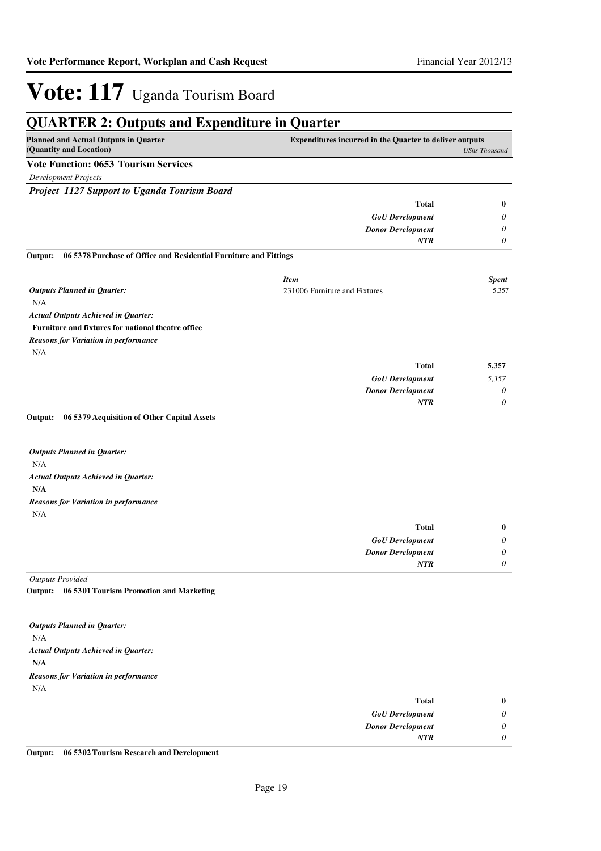#### **QUARTER 2: Outputs and Expenditure in Quarter Planned and Actual Outputs in Quarter (Quantity and Location) Expenditures incurred in the Quarter to deliver outputs**  *UShs Thousand* **Vote Function: 0653 Tourism Services** *Development Projects Project 1127 Support to Uganda Tourism Board GoU Development Donor Development* **Total** *0 0 0* **0** *NTR* N/A **Furniture and fixtures for national theatre office 06 5378 Purchase of Office and Residential Furniture and Fittings Output:** *GoU Development Donor Development* **Total** *5,357 0 0* **5,357** *Actual Outputs Achieved in Quarter: Outputs Planned in Quarter: NTR* N/A *Reasons for Variation in performance Item Spent* 231006 Furniture and Fixtures 5,357 N/A **N/A 06 5379 Acquisition of Other Capital Assets** *Actual Outputs Achieved in Quarter: Outputs Planned in Quarter:* **Output:** N/A *Reasons for Variation in performance*

| $\bf{0}$                    | <b>Total</b>             |
|-----------------------------|--------------------------|
| U                           | <b>GoU</b> Development   |
| $\boldsymbol{\mathsf{\nu}}$ | <b>Donor Development</b> |
| U                           | <b>NTR</b>               |
|                             |                          |

*Outputs Provided*

**06 5301 Tourism Promotion and Marketing Output:**

| <b>Outputs Planned in Quarter:</b>          |                          |              |
|---------------------------------------------|--------------------------|--------------|
| N/A                                         |                          |              |
| <b>Actual Outputs Achieved in Quarter:</b>  |                          |              |
| N/A                                         |                          |              |
| <b>Reasons for Variation in performance</b> |                          |              |
| N/A                                         |                          |              |
|                                             | <b>Total</b>             | $\mathbf{0}$ |
|                                             | <b>GoU</b> Development   | 0            |
|                                             | <b>Donor Development</b> | 0            |
|                                             | <b>NTR</b>               | 0            |

**Output: 06 5302 Tourism Research and Development**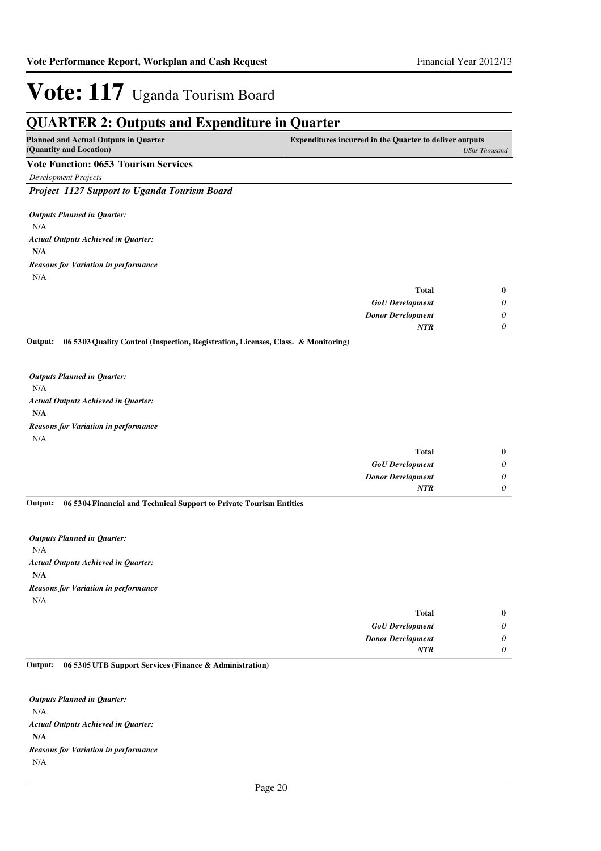## **QUARTER 2: Outputs and Expenditure in Quarter**

| -                                                                       |                                                                                        |
|-------------------------------------------------------------------------|----------------------------------------------------------------------------------------|
| <b>Planned and Actual Outputs in Quarter</b><br>(Quantity and Location) | <b>Expenditures incurred in the Quarter to deliver outputs</b><br><b>UShs Thousand</b> |
| <b>Vote Function: 0653 Tourism Services</b>                             |                                                                                        |
| Development Projects                                                    |                                                                                        |
| <b>Project 1127 Support to Uganda Tourism Board</b>                     |                                                                                        |
| <b>Outputs Planned in Ouarter:</b><br>N/A                               |                                                                                        |
| <b>Actual Outputs Achieved in Ouarter:</b>                              |                                                                                        |
| N/A                                                                     |                                                                                        |
| <b>Reasons for Variation in performance</b>                             |                                                                                        |

| $\bf{0}$ |
|----------|
| $\theta$ |
| $\theta$ |
| $\theta$ |
|          |

**06 5303 Quality Control (Inspection, Registration, Licenses, Class. & Monitoring) Output:**

N/A **N/A** *Actual Outputs Achieved in Quarter: Outputs Planned in Quarter:* N/A *Reasons for Variation in performance*

| $\bf{0}$ | Total                    |
|----------|--------------------------|
| 0        | <b>GoU</b> Development   |
| 0        | <b>Donor Development</b> |
| 0        | <b>NTR</b>               |
|          |                          |

**06 5304 Financial and Technical Support to Private Tourism Entities Output:**

N/A **N/A** *Actual Outputs Achieved in Quarter: Outputs Planned in Quarter:* N/A *Reasons for Variation in performance*

| $\bf{0}$ | <b>Total</b>             |
|----------|--------------------------|
| $\theta$ | <b>GoU</b> Development   |
| $\theta$ | <b>Donor Development</b> |
| 0        | <b>NTR</b>               |
|          |                          |

#### **06 5305 UTB Support Services (Finance & Administration) Output:**

N/A **N/A** *Actual Outputs Achieved in Quarter: Outputs Planned in Quarter:* N/A *Reasons for Variation in performance*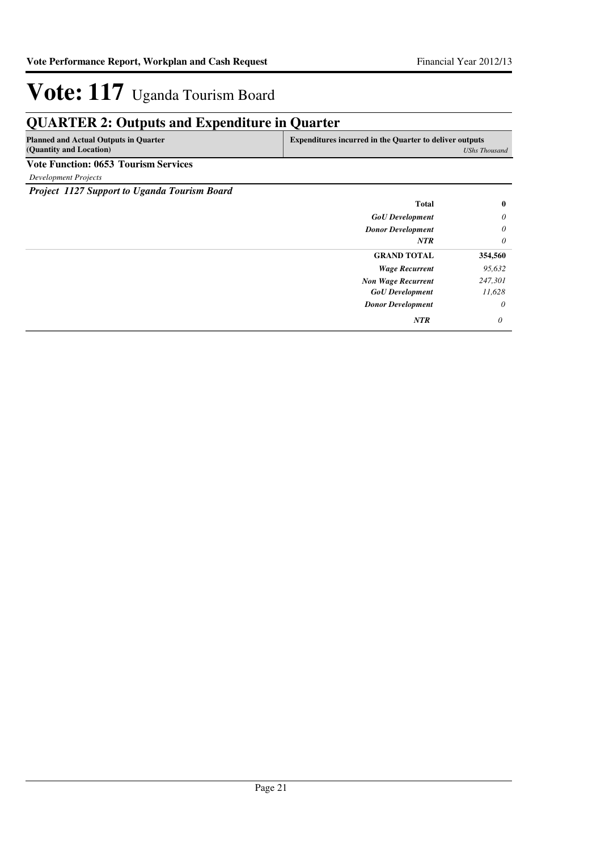## **QUARTER 2: Outputs and Expenditure in Quarter**

| <b>Planned and Actual Outputs in Quarter</b> | <b>Expenditures incurred in the Quarter to deliver outputs</b> |
|----------------------------------------------|----------------------------------------------------------------|
| (Quantity and Location)                      | UShs Thousand                                                  |
| Vote Function: 0653 Tourism Services         |                                                                |

*Development Projects*

*Project 1127 Support to Uganda Tourism Board*

| <b>Total</b>              | $\bf{0}$ |
|---------------------------|----------|
| <b>GoU</b> Development    | $\theta$ |
| <b>Donor Development</b>  | $\theta$ |
| <b>NTR</b>                | $\theta$ |
| <b>GRAND TOTAL</b>        | 354,560  |
| <b>Wage Recurrent</b>     | 95,632   |
| <b>Non Wage Recurrent</b> | 247,301  |
| <b>GoU</b> Development    | 11,628   |
| <b>Donor Development</b>  | $\theta$ |
| <b>NTR</b>                | $\theta$ |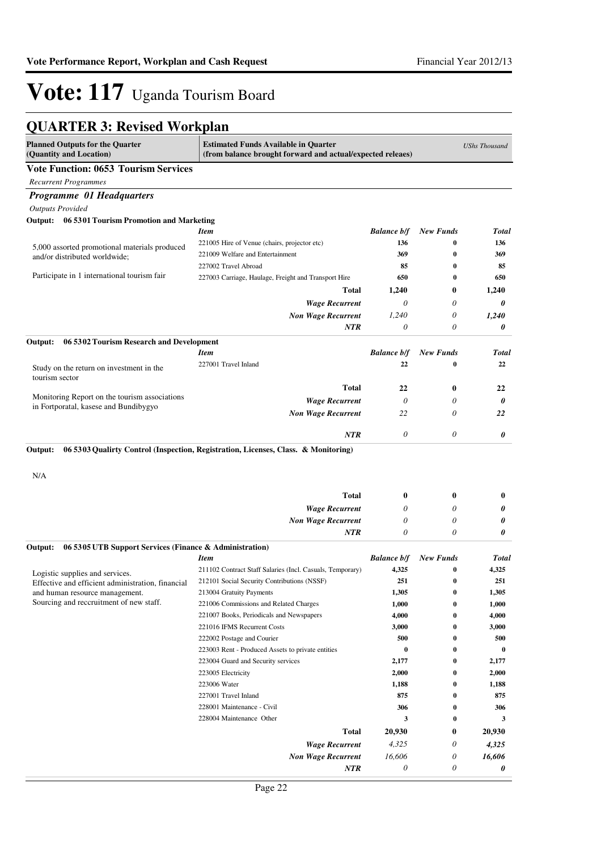## **QUARTER 3: Revised Workplan**

| <b>Planned Outputs for the Quarter</b><br>(Quantity and Location)         | <b>Estimated Funds Available in Quarter</b><br>(from balance brought forward and actual/expected releaes) |                       |                      | <b>UShs Thousand</b> |
|---------------------------------------------------------------------------|-----------------------------------------------------------------------------------------------------------|-----------------------|----------------------|----------------------|
| <b>Vote Function: 0653 Tourism Services</b>                               |                                                                                                           |                       |                      |                      |
| <b>Recurrent Programmes</b>                                               |                                                                                                           |                       |                      |                      |
| <b>Programme 01 Headquarters</b>                                          |                                                                                                           |                       |                      |                      |
| <b>Outputs Provided</b>                                                   |                                                                                                           |                       |                      |                      |
| Output:<br>06 5301 Tourism Promotion and Marketing                        |                                                                                                           |                       |                      |                      |
|                                                                           | <b>Item</b>                                                                                               | <b>Balance b/f</b>    | <b>New Funds</b>     | Total                |
| 5,000 assorted promotional materials produced                             | 221005 Hire of Venue (chairs, projector etc)                                                              | 136                   | 0                    | 136                  |
| and/or distributed worldwide;                                             | 221009 Welfare and Entertainment                                                                          | 369                   | $\bf{0}$             | 369                  |
|                                                                           | 227002 Travel Abroad                                                                                      | 85                    | $\bf{0}$             | 85                   |
| Participate in 1 international tourism fair                               | 227003 Carriage, Haulage, Freight and Transport Hire                                                      | 650                   | $\bf{0}$             | 650                  |
|                                                                           | Total                                                                                                     | 1,240                 | 0                    | 1,240                |
|                                                                           | <b>Wage Recurrent</b>                                                                                     | 0                     | 0                    | 0                    |
|                                                                           | <b>Non Wage Recurrent</b>                                                                                 | 1,240                 | 0                    | 1,240                |
|                                                                           | <b>NTR</b>                                                                                                | 0                     | 0                    | 0                    |
| 06 5302 Tourism Research and Development<br>Output:                       |                                                                                                           |                       |                      |                      |
|                                                                           | <b>Item</b>                                                                                               | <b>Balance b/f</b>    | <b>New Funds</b>     | Total                |
|                                                                           | 227001 Travel Inland                                                                                      | 22                    | $\bf{0}$             | 22                   |
| Study on the return on investment in the<br>tourism sector                |                                                                                                           |                       |                      |                      |
|                                                                           | <b>Total</b>                                                                                              | 22                    | $\bf{0}$             | 22                   |
| Monitoring Report on the tourism associations                             | <b>Wage Recurrent</b>                                                                                     | $\boldsymbol{\theta}$ | 0                    | 0                    |
| in Fortporatal, kasese and Bundibygyo                                     | <b>Non Wage Recurrent</b>                                                                                 | 22                    | 0                    | 22                   |
|                                                                           |                                                                                                           |                       |                      |                      |
|                                                                           | <b>NTR</b>                                                                                                | 0                     | 0                    | 0                    |
| N/A                                                                       | <b>Total</b>                                                                                              | 0                     | 0                    | 0                    |
|                                                                           | <b>Wage Recurrent</b>                                                                                     | 0                     | 0                    | 0                    |
|                                                                           | <b>Non Wage Recurrent</b>                                                                                 | 0                     | 0                    | 0                    |
|                                                                           | NTR                                                                                                       | 0                     | 0                    | 0                    |
| 06 5305 UTB Support Services (Finance & Administration)<br>Output:        |                                                                                                           |                       |                      |                      |
|                                                                           | <b>Item</b>                                                                                               | <b>Balance b/f</b>    | <b>New Funds</b>     | <b>Total</b>         |
| Logistic supplies and services.                                           | 211102 Contract Staff Salaries (Incl. Casuals, Temporary)                                                 | 4,325                 | $\bf{0}$             | 4,325                |
| Effective and efficient administration, financial                         | 212101 Social Security Contributions (NSSF)                                                               | 251                   | $\bf{0}$<br>$\bf{0}$ | 251                  |
| and human resource management.<br>Sourcing and recoruitment of new staff. | 213004 Gratuity Payments<br>221006 Commissions and Related Charges                                        | 1,305<br>1,000        | $\bf{0}$             | 1,305<br>1,000       |
|                                                                           | 221007 Books, Periodicals and Newspapers                                                                  | 4,000                 | $\bf{0}$             | 4,000                |
|                                                                           | 221016 IFMS Recurrent Costs                                                                               | 3,000                 | $\bf{0}$             | 3,000                |
|                                                                           | 222002 Postage and Courier                                                                                | 500                   | $\bf{0}$             | 500                  |
|                                                                           | 223003 Rent - Produced Assets to private entities                                                         | $\bf{0}$              | $\bf{0}$             | $\bf{0}$             |
|                                                                           | 223004 Guard and Security services                                                                        | 2,177                 | $\bf{0}$             | 2,177                |
|                                                                           | 223005 Electricity                                                                                        | 2,000                 | $\bf{0}$             | 2,000                |
|                                                                           | 223006 Water                                                                                              | 1,188                 | $\bf{0}$             | 1,188                |
|                                                                           | 227001 Travel Inland                                                                                      | 875                   | $\bf{0}$             | 875                  |
|                                                                           | 228001 Maintenance - Civil                                                                                | 306                   | $\bf{0}$             | 306                  |
|                                                                           | 228004 Maintenance Other                                                                                  | 3                     | $\bf{0}$             | 3                    |
|                                                                           | <b>Total</b>                                                                                              | 20,930                | 0                    | 20,930               |
|                                                                           | <b>Wage Recurrent</b>                                                                                     | 4,325                 | 0                    | 4,325                |
|                                                                           | <b>Non Wage Recurrent</b>                                                                                 | 16,606                | 0                    | 16,606               |
|                                                                           | <b>NTR</b>                                                                                                | 0                     | 0                    | 0                    |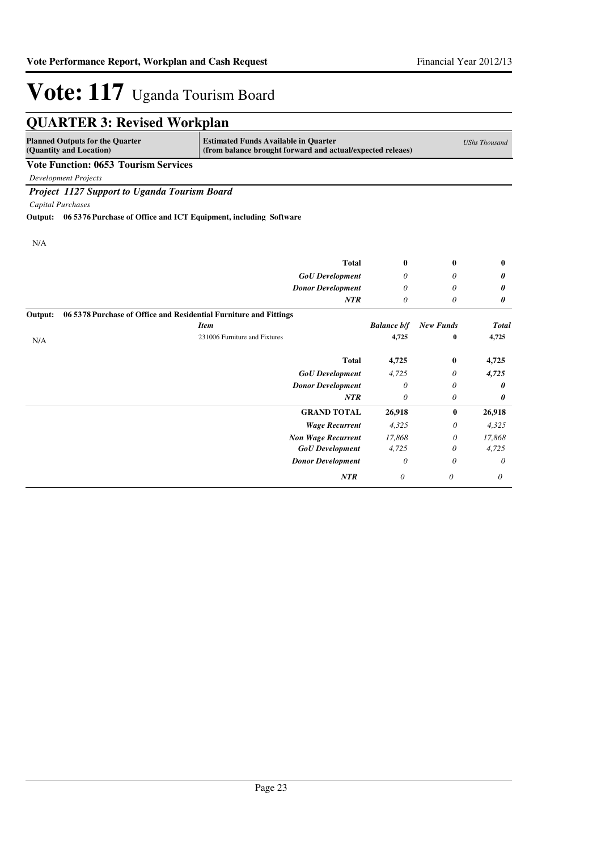|         | <b>QUARTER 3: Revised Workplan</b>                                |                                                                                                           |                    |                  |                      |
|---------|-------------------------------------------------------------------|-----------------------------------------------------------------------------------------------------------|--------------------|------------------|----------------------|
|         | <b>Planned Outputs for the Quarter</b><br>(Quantity and Location) | <b>Estimated Funds Available in Quarter</b><br>(from balance brought forward and actual/expected releaes) |                    |                  | <b>UShs Thousand</b> |
|         | <b>Vote Function: 0653 Tourism Services</b>                       |                                                                                                           |                    |                  |                      |
|         | <b>Development Projects</b>                                       |                                                                                                           |                    |                  |                      |
|         | Project 1127 Support to Uganda Tourism Board                      |                                                                                                           |                    |                  |                      |
|         | Capital Purchases                                                 |                                                                                                           |                    |                  |                      |
| Output: | 06 5376 Purchase of Office and ICT Equipment, including Software  |                                                                                                           |                    |                  |                      |
|         |                                                                   |                                                                                                           |                    |                  |                      |
| N/A     |                                                                   |                                                                                                           |                    |                  |                      |
|         |                                                                   | <b>Total</b>                                                                                              | $\bf{0}$           | 0                | $\bf{0}$             |
|         |                                                                   | <b>GoU</b> Development                                                                                    | 0                  | 0                | 0                    |
|         |                                                                   | <b>Donor Development</b>                                                                                  | 0                  | 0                | 0                    |
|         |                                                                   | NTR                                                                                                       | $\theta$           | $\theta$         | 0                    |
| Output: | 06 5378 Purchase of Office and Residential Furniture and Fittings |                                                                                                           |                    |                  |                      |
|         |                                                                   | <b>Item</b>                                                                                               | <b>Balance b/f</b> | <b>New Funds</b> | <b>Total</b>         |
| N/A     |                                                                   | 231006 Furniture and Fixtures                                                                             | 4,725              | $\bf{0}$         | 4,725                |
|         |                                                                   | <b>Total</b>                                                                                              | 4,725              | 0                | 4,725                |
|         |                                                                   | <b>GoU</b> Development                                                                                    | 4.725              | 0                | 4,725                |
|         |                                                                   | <b>Donor Development</b>                                                                                  | $\theta$           | 0                | 0                    |
|         |                                                                   | NTR                                                                                                       | 0                  | 0                | 0                    |
|         |                                                                   | <b>GRAND TOTAL</b>                                                                                        | 26,918             | $\bf{0}$         | 26,918               |
|         |                                                                   | <b>Wage Recurrent</b>                                                                                     | 4,325              | $\theta$         | 4,325                |
|         |                                                                   | <b>Non Wage Recurrent</b>                                                                                 | 17,868             | 0                | 17,868               |
|         |                                                                   | <b>GoU</b> Development                                                                                    | 4,725              | 0                | 4,725                |
|         |                                                                   | <b>Donor Development</b>                                                                                  | $\theta$           | 0                | 0                    |
|         |                                                                   | NTR                                                                                                       | 0                  | $\theta$         | 0                    |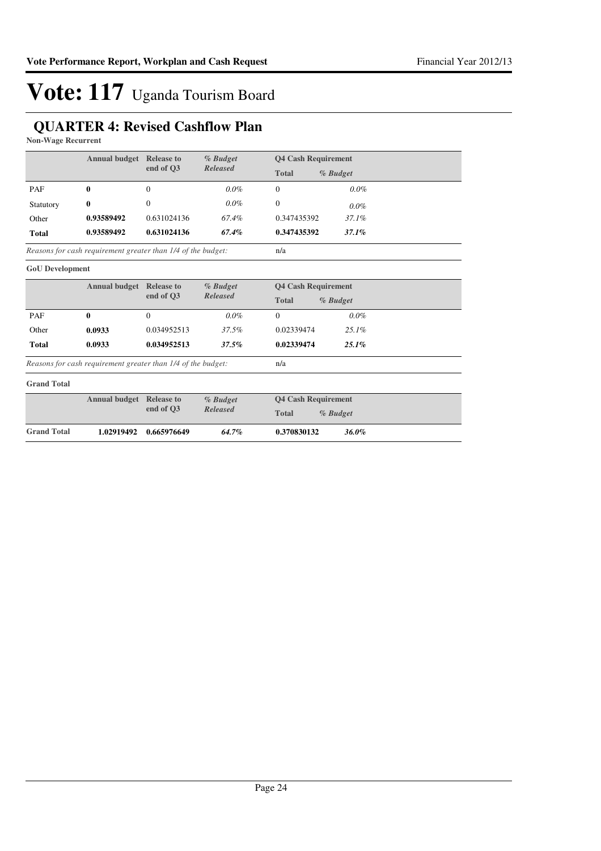## **QUARTER 4: Revised Cashflow Plan**

**Non-Wage Recurrent**

| <b>Annual budget</b>   |                                                              | <b>Release to</b>                 | $%$ Budget                   | <b>Q4 Cash Requirement</b> |          |  |
|------------------------|--------------------------------------------------------------|-----------------------------------|------------------------------|----------------------------|----------|--|
|                        |                                                              | end of O3                         | <b>Released</b>              | <b>Total</b>               | % Budget |  |
| PAF                    | 0                                                            | 0                                 | $0.0\%$                      | 0                          | $0.0\%$  |  |
| Statutory              | 0                                                            | 0                                 | $0.0\%$                      | $\theta$                   | $0.0\%$  |  |
| Other                  | 0.93589492                                                   | 0.631024136                       | 67.4%                        | 0.347435392                | 37.1%    |  |
| <b>Total</b>           | 0.93589492                                                   | 0.631024136                       | 67.4%                        | 0.347435392                | 37.1%    |  |
|                        | Reasons for cash requirement greater than 1/4 of the budget: |                                   |                              | n/a                        |          |  |
| <b>GoU</b> Development |                                                              |                                   |                              |                            |          |  |
|                        | <b>Annual budget</b>                                         | <b>Release to</b><br>$-1$ $-0.02$ | $%$ Budget<br>$D - I -  - I$ | <b>Q4 Cash Requirement</b> |          |  |

|              |        | end of O3                                                    | <b>Released</b> | <b>Total</b> | $%$ Budget |  |
|--------------|--------|--------------------------------------------------------------|-----------------|--------------|------------|--|
| PAF          | 0      | $\Omega$                                                     | $0.0\%$         |              | $0.0\%$    |  |
| Other        | 0.0933 | 0.034952513                                                  | 37.5%           | 0.02339474   | $2.5.1\%$  |  |
| <b>Total</b> | 0.0933 | 0.034952513                                                  | 37.5%           | 0.02339474   | $25.1\%$   |  |
|              |        | Reasons for cash requirement greater than 1/4 of the budget: |                 | n/a          |            |  |

*Reasons for cash requirement greater than 1/4 of the budget:*

#### **Grand Total**

|                    | <b>Annual budget</b> Release to |                 | % Budget          | <b>O4 Cash Requirement</b> |  |
|--------------------|---------------------------------|-----------------|-------------------|----------------------------|--|
|                    | end of O3                       | <b>Released</b> | Total<br>% Budget |                            |  |
| <b>Grand Total</b> | 1.02919492                      | 0.665976649     | $64.7\%$          | 0.370830132<br>36.0%       |  |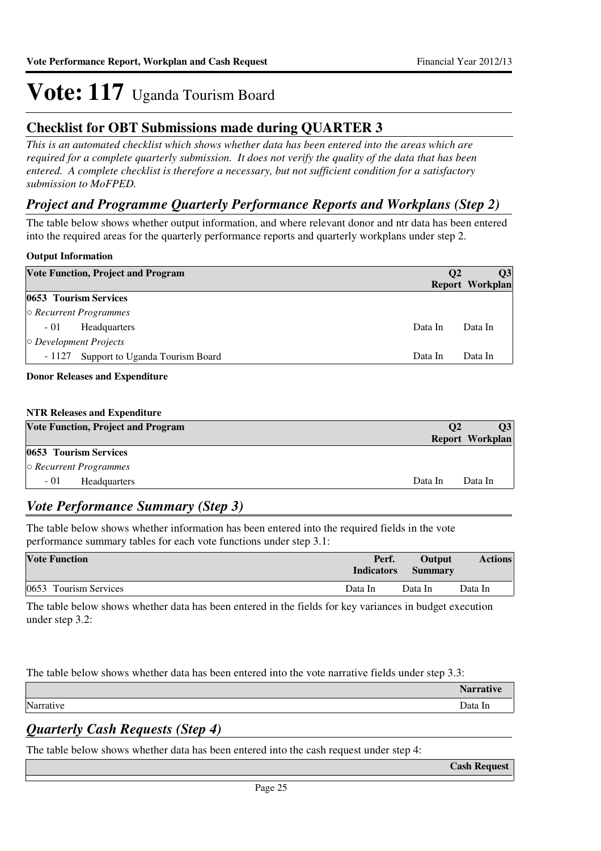## **Checklist for OBT Submissions made during QUARTER 3**

*This is an automated checklist which shows whether data has been entered into the areas which are required for a complete quarterly submission. It does not verify the quality of the data that has been entered. A complete checklist is therefore a necessary, but not sufficient condition for a satisfactory submission to MoFPED.*

### *Project and Programme Quarterly Performance Reports and Workplans (Step 2)*

The table below shows whether output information, and where relevant donor and ntr data has been entered into the required areas for the quarterly performance reports and quarterly workplans under step 2.

### **Output Information**

| <b>Vote Function, Project and Program</b> | <b>O2</b> | <b>O3</b><br>Report Workplan |
|-------------------------------------------|-----------|------------------------------|
| 0653 Tourism Services                     |           |                              |
| $\circ$ Recurrent Programmes              |           |                              |
| $-01$<br><b>Headquarters</b>              | Data In   | Data In                      |
| $\circ$ Development Projects              |           |                              |
| Support to Uganda Tourism Board<br>- 1127 | Data In   | Data In                      |
|                                           |           |                              |

### **Donor Releases and Expenditure**

### **NTR Releases and Expenditure**

| <b>Vote Function, Project and Program</b> | <b>O2</b> | 03              |
|-------------------------------------------|-----------|-----------------|
|                                           |           | Report Workplan |
| <b>0653 Tourism Services</b>              |           |                 |
| $\circ$ Recurrent Programmes              |           |                 |
| $-01$<br><b>Headquarters</b>              | Data In   | Data In         |

### *Vote Performance Summary (Step 3)*

The table below shows whether information has been entered into the required fields in the vote performance summary tables for each vote functions under step 3.1:

| <b>Vote Function</b>  | Perf.<br><b>Indicators</b> | Output<br><b>Summary</b> | <b>Actions</b> |
|-----------------------|----------------------------|--------------------------|----------------|
| 0653 Tourism Services | Data In                    | Data In                  | Data In        |

The table below shows whether data has been entered in the fields for key variances in budget execution under step 3.2:

The table below shows whether data has been entered into the vote narrative fields under step 3.3:

| Narrative<br>Data In |  |
|----------------------|--|

## *Quarterly Cash Requests (Step 4)*

The table below shows whether data has been entered into the cash request under step 4:

**Cash Request**